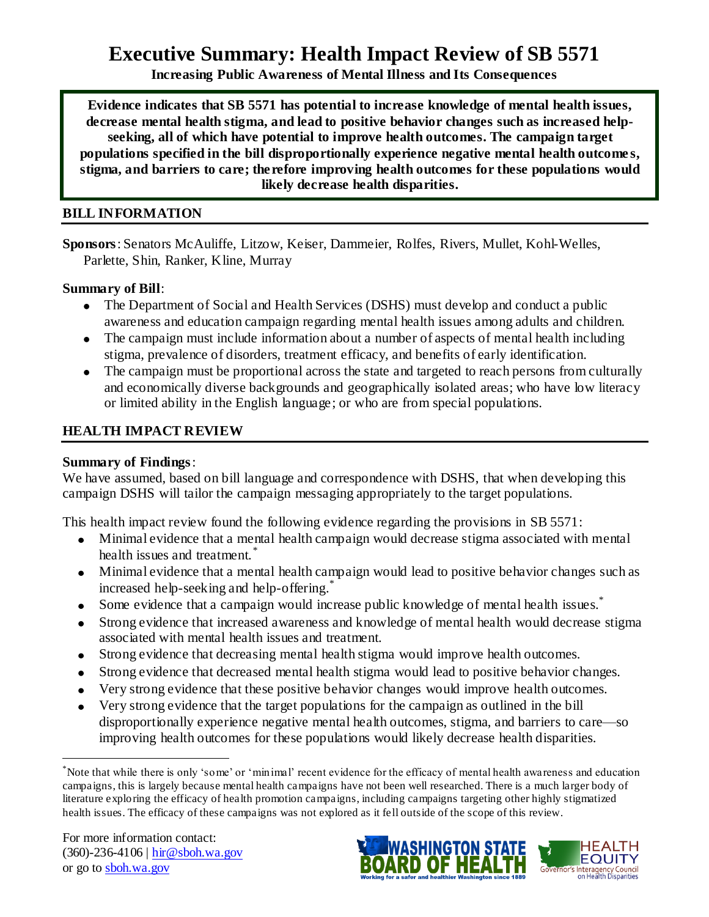# **Executive Summary: Health Impact Review of SB 5571**

**Increasing Public Awareness of Mental Illness and Its Consequences**

**Evidence indicates that SB 5571 has potential to increase knowledge of mental health issues, decrease mental health stigma, and lead to positive behavior changes such as increased helpseeking, all of which have potential to improve health outcomes. The campaign target populations specified in the bill disproportionally experience negative mental health outcome s, stigma, and barriers to care; therefore improving health outcomes for these populations would likely decrease health disparities.**

# **BILL INFORMATION**

**Sponsors**: Senators [McAuliffe,](http://www.leg.wa.gov/senate/senators/pages/McAuliffe.aspx) [Litzow,](http://www.leg.wa.gov/senate/senators/pages/Litzow.aspx) [Keiser,](http://www.leg.wa.gov/senate/senators/pages/Keiser.aspx) [Dammeier,](http://www.leg.wa.gov/senate/senators/pages/Dammeier.aspx) [Rolfes,](http://www.leg.wa.gov/senate/senators/pages/Rolfes.aspx) [Rivers,](http://www.leg.wa.gov/senate/senators/pages/Rivers.aspx) [Mullet,](http://www.leg.wa.gov/senate/senators/pages/Mullet.aspx) [Kohl-Welles,](http://www.leg.wa.gov/senate/senators/pages/Kohl-Welles.aspx) [Parlette,](http://www.leg.wa.gov/senate/senators/pages/Parlette.aspx) [Shin,](http://www.leg.wa.gov/senate/senators/pages/Shin.aspx) [Ranker,](http://www.leg.wa.gov/senate/senators/pages/Ranker.aspx) [Kline,](http://www.leg.wa.gov/senate/senators/pages/Kline.aspx) [Murray](http://www.leg.wa.gov/senate/senators/pages/Murray.aspx) 

### **Summary of Bill**:

- The Department of Social and Health Services (DSHS) must develop and conduct a public awareness and education campaign regarding mental health issues among adults and children.
- The campaign must include information about a number of aspects of mental health including stigma, prevalence of disorders, treatment efficacy, and benefits of early identification.
- The campaign must be proportional across the state and targeted to reach persons from culturally and economically diverse backgrounds and geographically isolated areas; who have low literacy or limited ability in the English language; or who are from special populations.

# **HEALTH IMPACT REVIEW**

# **Summary of Findings**:

We have assumed, based on bill language and correspondence with DSHS, that when developing this campaign DSHS will tailor the campaign messaging appropriately to the target populations.

This health impact review found the following evidence regarding the provisions in SB 5571:

- Minimal evidence that a mental health campaign would decrease stigma associated with mental health issues and treatment.<sup>\*</sup>
- Minimal evidence that a mental health campaign would lead to positive behavior changes such as increased help-seeking and help-offering.<sup>\*</sup>
- Some evidence that a campaign would increase public knowledge of mental health issues.<sup>\*</sup>
- Strong evidence that increased awareness and knowledge of mental health would decrease stigma associated with mental health issues and treatment.
- Strong evidence that decreasing mental health stigma would improve health outcomes.
- Strong evidence that decreased mental health stigma would lead to positive behavior changes.
- Very strong evidence that these positive behavior changes would improve health outcomes.
- Very strong evidence that the target populations for the campaign as outlined in the bill disproportionally experience negative mental health outcomes, stigma, and barriers to care—so improving health outcomes for these populations would likely decrease health disparities.

 $\overline{a}$ 



<sup>\*</sup>Note that while there is only "some" or "minimal" recent evidence for the efficacy of mental health awareness and education campaigns, this is largely because mental health campaigns have not been well researched. There is a much larger body of literature exploring the efficacy of health promotion campaigns, including campaigns targeting other highly stigmatized health issues. The efficacy of these campaigns was not explored as it fell outside of the scope of this review.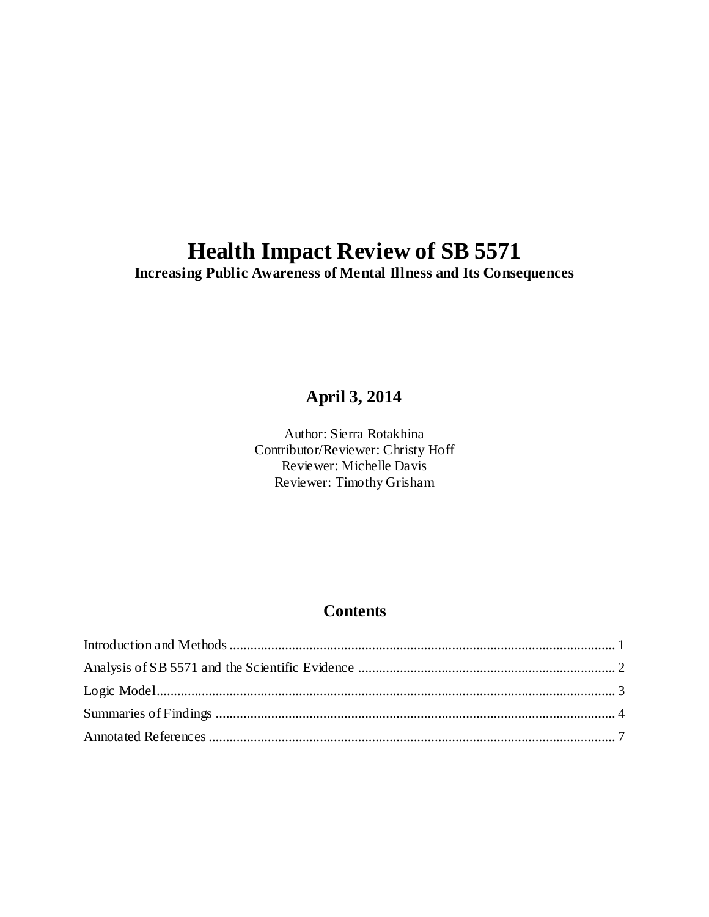# **Health Impact Review of SB 5571**

**Increasing Public Awareness of Mental Illness and Its Consequences**

# **April 3, 2014**

Author: Sierra Rotakhina Contributor/Reviewer: Christy Hoff Reviewer: Michelle Davis Reviewer: Timothy Grisham

# **Contents**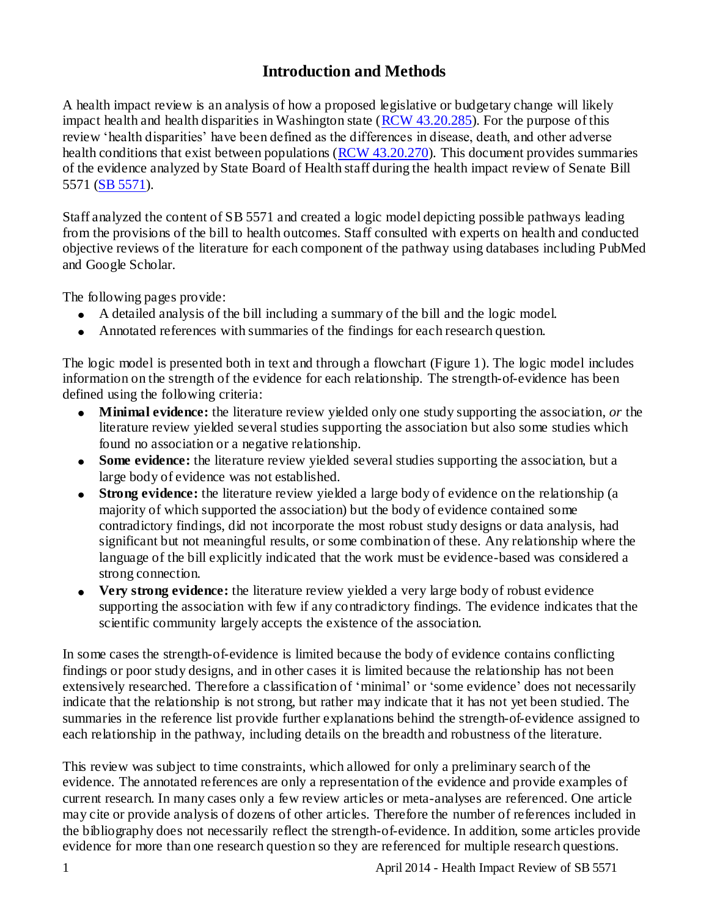# **Introduction and Methods**

<span id="page-2-0"></span>A health impact review is an analysis of how a proposed legislative or budgetary change will likely impact health and health disparities in Washington state (RCW [43.20.285\)](http://apps.leg.wa.gov/rcw/default.aspx?cite=43.20.285). For the purpose of this review "health disparities" have been defined as the differences in disease, death, and other adverse health conditions that exist between populations [\(RCW 43.20.270\)](http://apps.leg.wa.gov/rcw/default.aspx?cite=43.20.270). This document provides summaries of the evidence analyzed by State Board of Health staff during the health impact review of Senate Bill 5571 [\(SB 5571\)](http://apps.leg.wa.gov/billinfo/summary.aspx?bill=5571).

Staff analyzed the content of SB 5571 and created a logic model depicting possible pathways leading from the provisions of the bill to health outcomes. Staff consulted with experts on health and conducted objective reviews of the literature for each component of the pathway using databases including PubMed and Google Scholar.

The following pages provide:

- A detailed analysis of the bill including a summary of the bill and the logic model.
- Annotated references with summaries of the findings for each research question.

The logic model is presented both in text and through a flowchart (Figure 1). The logic model includes information on the strength of the evidence for each relationship. The strength-of-evidence has been defined using the following criteria:

- **Minimal evidence:** the literature review yielded only one study supporting the association, *or* the literature review yielded several studies supporting the association but also some studies which found no association or a negative relationship.
- **Some evidence:** the literature review yielded several studies supporting the association, but a large body of evidence was not established.
- **Strong evidence:** the literature review yielded a large body of evidence on the relationship (a majority of which supported the association) but the body of evidence contained some contradictory findings, did not incorporate the most robust study designs or data analysis, had significant but not meaningful results, or some combination of these. Any relationship where the language of the bill explicitly indicated that the work must be evidence-based was considered a strong connection.
- **Very strong evidence:** the literature review yielded a very large body of robust evidence supporting the association with few if any contradictory findings. The evidence indicates that the scientific community largely accepts the existence of the association.

In some cases the strength-of-evidence is limited because the body of evidence contains conflicting findings or poor study designs, and in other cases it is limited because the relationship has not been extensively researched. Therefore a classification of "minimal" or "some evidence" does not necessarily indicate that the relationship is not strong, but rather may indicate that it has not yet been studied. The summaries in the reference list provide further explanations behind the strength-of-evidence assigned to each relationship in the pathway, including details on the breadth and robustness of the literature.

This review was subject to time constraints, which allowed for only a preliminary search of the evidence. The annotated references are only a representation of the evidence and provide examples of current research. In many cases only a few review articles or meta-analyses are referenced. One article may cite or provide analysis of dozens of other articles. Therefore the number of references included in the bibliography does not necessarily reflect the strength-of-evidence. In addition, some articles provide evidence for more than one research question so they are referenced for multiple research questions.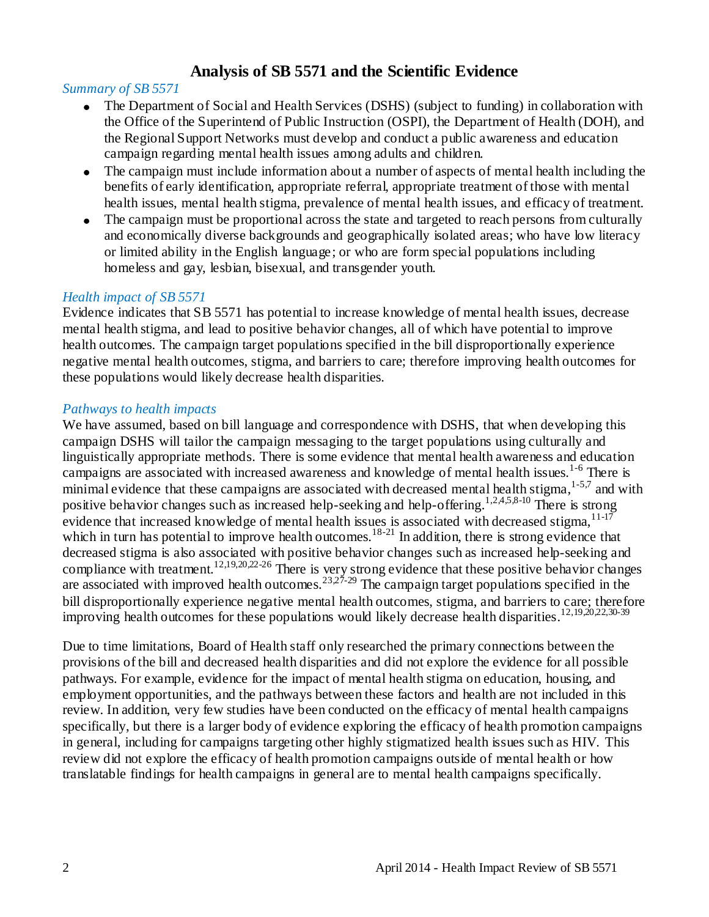# **Analysis of SB 5571 and the Scientific Evidence**

# <span id="page-3-0"></span>*Summary of SB 5571*

- The Department of Social and Health Services (DSHS) (subject to funding) in collaboration with the Office of the Superintend of Public Instruction (OSPI), the Department of Health (DOH), and the Regional Support Networks must develop and conduct a public awareness and education campaign regarding mental health issues among adults and children.
- The campaign must include information about a number of aspects of mental health including the benefits of early identification, appropriate referral, appropriate treatment of those with mental health issues, mental health stigma, prevalence of mental health issues, and efficacy of treatment.
- The campaign must be proportional across the state and targeted to reach persons from culturally and economically diverse backgrounds and geographically isolated areas; who have low literacy or limited ability in the English language; or who are form special populations including homeless and gay, lesbian, bisexual, and transgender youth.

# *Health impact of SB 5571*

Evidence indicates that SB 5571 has potential to increase knowledge of mental health issues, decrease mental health stigma, and lead to positive behavior changes, all of which have potential to improve health outcomes. The campaign target populations specified in the bill disproportionally experience negative mental health outcomes, stigma, and barriers to care; therefore improving health outcomes for these populations would likely decrease health disparities.

# *Pathways to health impacts*

We have assumed, based on bill language and correspondence with DSHS, that when developing this campaign DSHS will tailor the campaign messaging to the target populations using culturally and linguistically appropriate methods. There is some evidence that mental health awareness and education campaigns are associated with increased awareness and knowledge of mental health issues.1-6 There is minimal evidence that these campaigns are associated with decreased mental health stigma,  $1-5.7$  and with positive behavior changes such as increased help-seeking and help-offering.<sup>1,2,4,5,8-10</sup> There is strong evidence that increased knowledge of mental health issues is associated with decreased stigma,  $11-17$ which in turn has potential to improve health outcomes.<sup>18-21</sup> In addition, there is strong evidence that decreased stigma is also associated with positive behavior changes such as increased help-seeking and compliance with treatment.<sup>12,19,20,22-26</sup> There is very strong evidence that these positive behavior changes are associated with improved health outcomes.<sup>23,27-29</sup> The campaign target populations specified in the bill disproportionally experience negative mental health outcomes, stigma, and barriers to care; therefore improving health outcomes for these populations would likely decrease health disparities.<sup>12,19,20,22,30-39</sup>

Due to time limitations, Board of Health staff only researched the primary connections between the provisions of the bill and decreased health disparities and did not explore the evidence for all possible pathways. For example, evidence for the impact of mental health stigma on education, housing, and employment opportunities, and the pathways between these factors and health are not included in this review. In addition, very few studies have been conducted on the efficacy of mental health campaigns specifically, but there is a larger body of evidence exploring the efficacy of health promotion campaigns in general, including for campaigns targeting other highly stigmatized health issues such as HIV. This review did not explore the efficacy of health promotion campaigns outside of mental health or how translatable findings for health campaigns in general are to mental health campaigns specifically.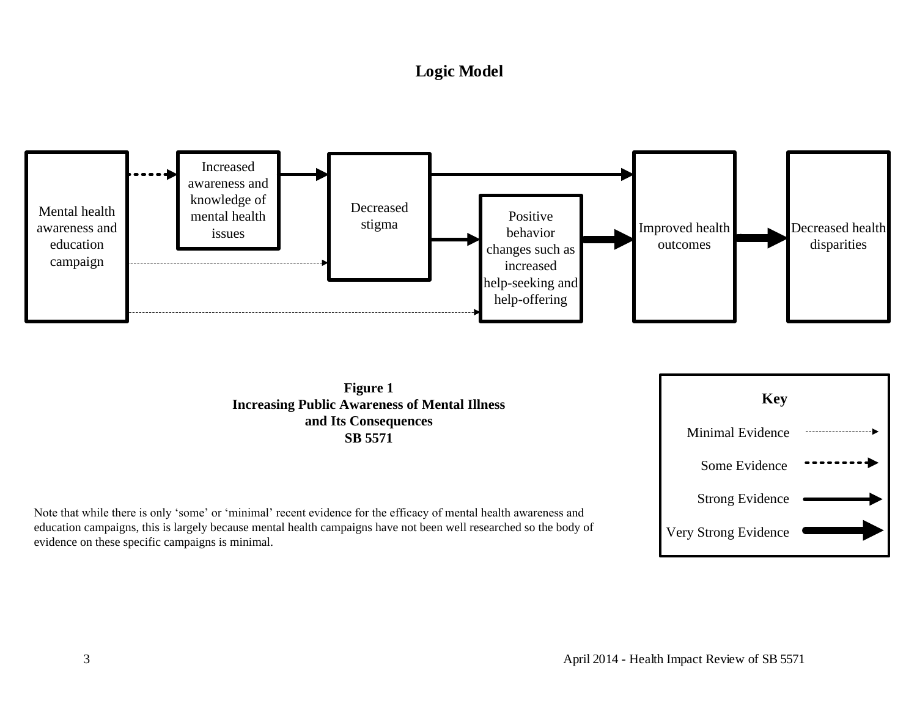# **Logic Model**

<span id="page-4-0"></span>



Note that while there is only 'some' or 'minimal' recent evidence for the efficacy of mental health awareness and education campaigns, this is largely because mental health campaigns have not been well researched so the body of evidence on these specific campaigns is minimal.

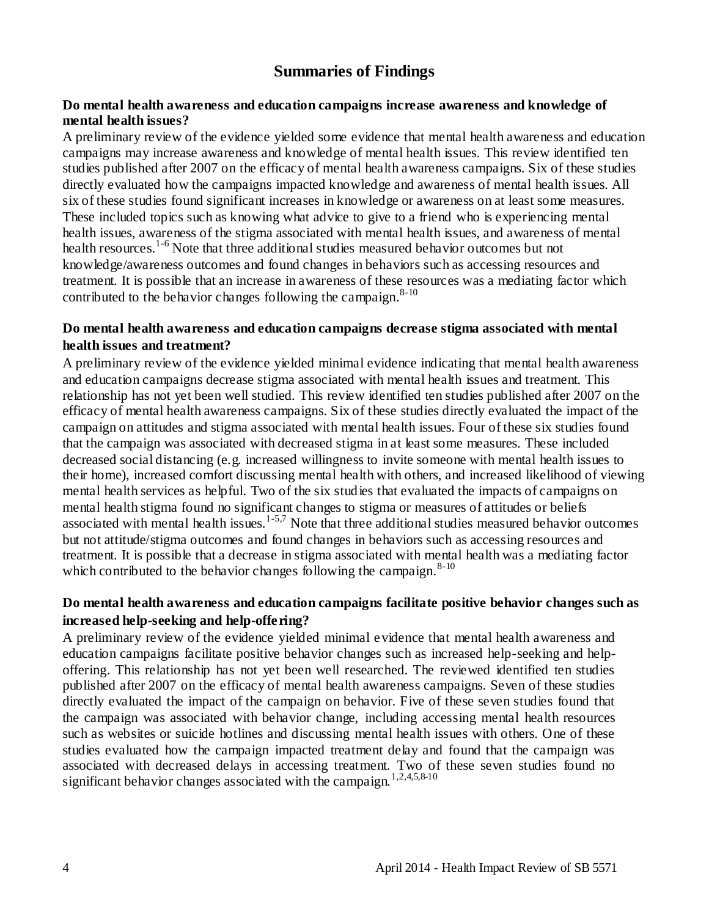# **Summaries of Findings**

#### <span id="page-5-0"></span>**Do mental health awareness and education campaigns increase awareness and knowledge of mental health issues?**

A preliminary review of the evidence yielded some evidence that mental health awareness and education campaigns may increase awareness and knowledge of mental health issues. This review identified ten studies published after 2007 on the efficacy of mental health awareness campaigns. Six of these studies directly evaluated how the campaigns impacted knowledge and awareness of mental health issues. All six of these studies found significant increases in knowledge or awareness on at least some measures. These included topics such as knowing what advice to give to a friend who is experiencing mental health issues, awareness of the stigma associated with mental health issues, and awareness of mental health resources.<sup>1-6</sup> Note that three additional studies measured behavior outcomes but not knowledge/awareness outcomes and found changes in behaviors such as accessing resources and treatment. It is possible that an increase in awareness of these resources was a mediating factor which contributed to the behavior changes following the canonaign.  $8-10$ 

### **Do mental health awareness and education campaigns decrease stigma associated with mental health issues and treatment?**

A preliminary review of the evidence yielded minimal evidence indicating that mental health awareness and education campaigns decrease stigma associated with mental health issues and treatment. This relationship has not yet been well studied. This review identified ten studies published after 2007 on the efficacy of mental health awareness campaigns. Six of these studies directly evaluated the impact of the campaign on attitudes and stigma associated with mental health issues. Four of these six studies found that the campaign was associated with decreased stigma in at least some measures. These included decreased social distancing (e.g. increased willingness to invite someone with mental health issues to their home), increased comfort discussing mental health with others, and increased likelihood of viewing mental health services as helpful. Two of the six studies that evaluated the impacts of campaigns on mental health stigma found no significant changes to stigma or measures of attitudes or beliefs associated with mental health issues.<sup>1-5,7</sup> Note that three additional studies measured behavior outcomes but not attitude/stigma outcomes and found changes in behaviors such as accessing resources and treatment. It is possible that a decrease in stigma associated with mental health was a mediating factor which contributed to the behavior changes following the campaign. $8-10$ 

# **Do mental health awareness and education campaigns facilitate positive behavior changes such as increased help-seeking and help-offering?**

A preliminary review of the evidence yielded minimal evidence that mental health awareness and education campaigns facilitate positive behavior changes such as increased help-seeking and helpoffering. This relationship has not yet been well researched. The reviewed identified ten studies published after 2007 on the efficacy of mental health awareness campaigns. Seven of these studies directly evaluated the impact of the campaign on behavior. Five of these seven studies found that the campaign was associated with behavior change, including accessing mental health resources such as websites or suicide hotlines and discussing mental health issues with others. One of these studies evaluated how the campaign impacted treatment delay and found that the campaign was associated with decreased delays in accessing treatment. Two of these seven studies found no significant behavior changes associated with the campaign.<sup>1,2,4,5,8-10</sup>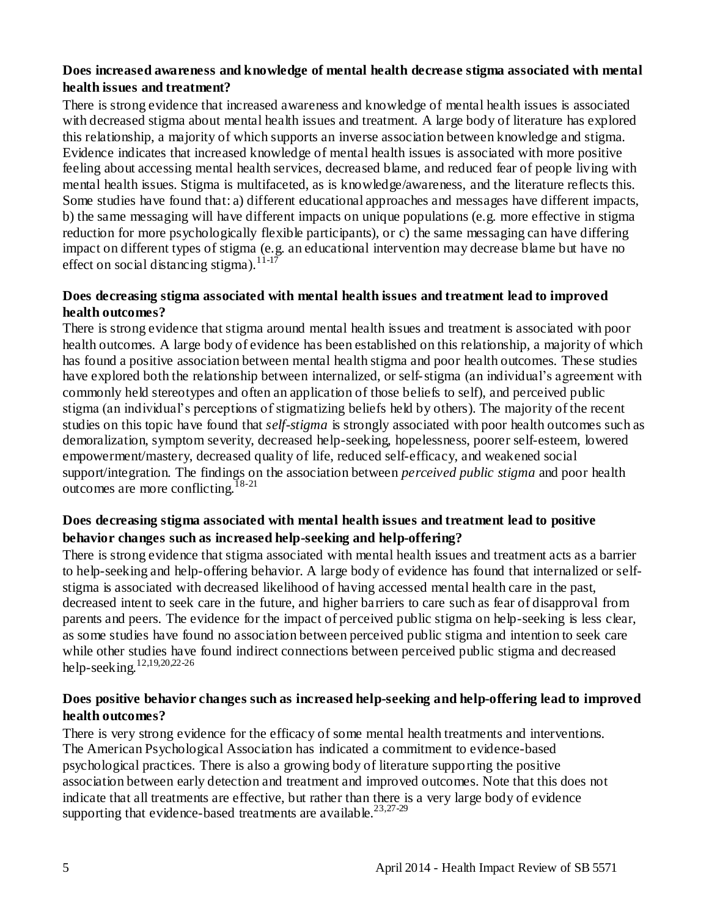# **Does increased awareness and knowledge of mental health decrease stigma associated with mental health issues and treatment?**

There is strong evidence that increased awareness and knowledge of mental health issues is associated with decreased stigma about mental health issues and treatment. A large body of literature has explored this relationship, a majority of which supports an inverse association between knowledge and stigma. Evidence indicates that increased knowledge of mental health issues is associated with more positive feeling about accessing mental health services, decreased blame, and reduced fear of people living with mental health issues. Stigma is multifaceted, as is knowledge/awareness, and the literature reflects this. Some studies have found that: a) different educational approaches and messages have different impacts, b) the same messaging will have different impacts on unique populations (e.g. more effective in stigma reduction for more psychologically flexible participants), or c) the same messaging can have differing impact on different types of stigma (e.g. an educational intervention may decrease blame but have no effect on social distancing stigma).<sup>11-17</sup>

# **Does decreasing stigma associated with mental health issues and treatment lead to improved health outcomes?**

There is strong evidence that stigma around mental health issues and treatment is associated with poor health outcomes. A large body of evidence has been established on this relationship, a majority of which has found a positive association between mental health stigma and poor health outcomes. These studies have explored both the relationship between internalized, or self-stigma (an individual's agreement with commonly held stereotypes and often an application of those beliefs to self), and perceived public stigma (an individual"s perceptions of stigmatizing beliefs held by others). The majority of the recent studies on this topic have found that *self-stigma* is strongly associated with poor health outcomes such as demoralization, symptom severity, decreased help-seeking, hopelessness, poorer self-esteem, lowered empowerment/mastery, decreased quality of life, reduced self-efficacy, and weakened social support/integration. The findings on the association between *perceived public stigma* and poor health outcomes are more conflicting.<sup>18-21</sup>

# **Does decreasing stigma associated with mental health issues and treatment lead to positive behavior changes such as increased help-seeking and help-offering?**

There is strong evidence that stigma associated with mental health issues and treatment acts as a barrier to help-seeking and help-offering behavior. A large body of evidence has found that internalized or selfstigma is associated with decreased likelihood of having accessed mental health care in the past, decreased intent to seek care in the future, and higher barriers to care such as fear of disapproval from parents and peers. The evidence for the impact of perceived public stigma on help-seeking is less clear, as some studies have found no association between perceived public stigma and intention to seek care while other studies have found indirect connections between perceived public stigma and decreased help-seeking.<sup>12,19,20,22-26</sup>

# **Does positive behavior changes such as increased help-seeking and help-offering lead to improved health outcomes?**

There is very strong evidence for the efficacy of some mental health treatments and interventions. The American Psychological Association has indicated a commitment to evidence-based psychological practices. There is also a growing body of literature supporting the positive association between early detection and treatment and improved outcomes. Note that this does not indicate that all treatments are effective, but rather than there is a very large body of evidence supporting that evidence-based treatments are available.<sup>23,27-29</sup>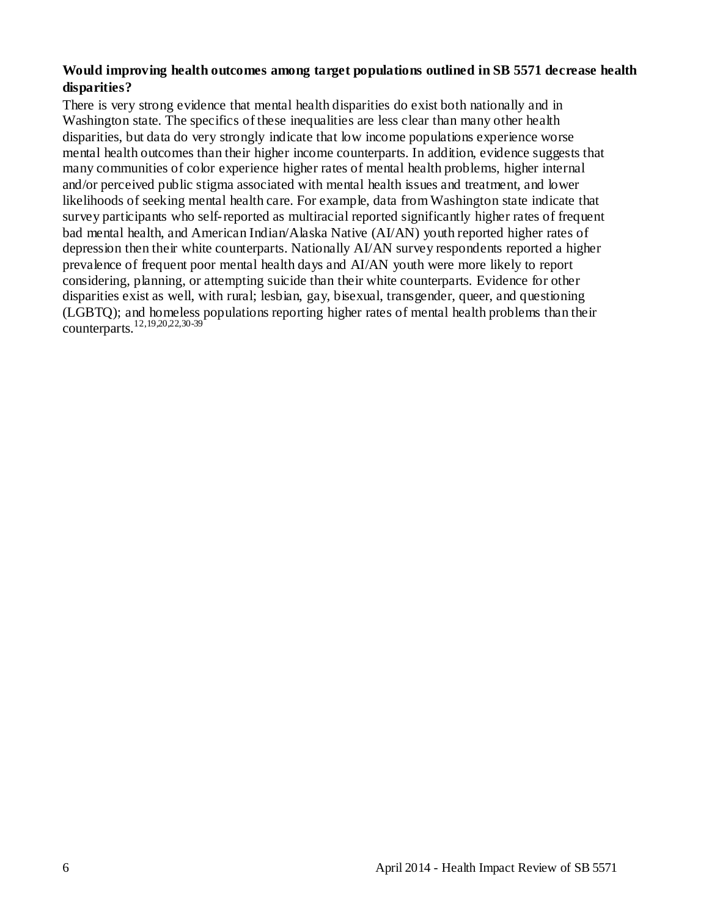### **Would improving health outcomes among target populations outlined in SB 5571 decrease health disparities?**

There is very strong evidence that mental health disparities do exist both nationally and in Washington state. The specifics of these inequalities are less clear than many other health disparities, but data do very strongly indicate that low income populations experience worse mental health outcomes than their higher income counterparts. In addition, evidence suggests that many communities of color experience higher rates of mental health problems, higher internal and/or perceived public stigma associated with mental health issues and treatment, and lower likelihoods of seeking mental health care. For example, data from Washington state indicate that survey participants who self-reported as multiracial reported significantly higher rates of frequent bad mental health, and American Indian/Alaska Native (AI/AN) youth reported higher rates of depression then their white counterparts. Nationally AI/AN survey respondents reported a higher prevalence of frequent poor mental health days and AI/AN youth were more likely to report considering, planning, or attempting suicide than their white counterparts. Evidence for other disparities exist as well, with rural; lesbian, gay, bisexual, transgender, queer, and questioning (LGBTQ); and homeless populations reporting higher rates of mental health problems than their counterparts.<sup>12,19,20,22,30-39</sup>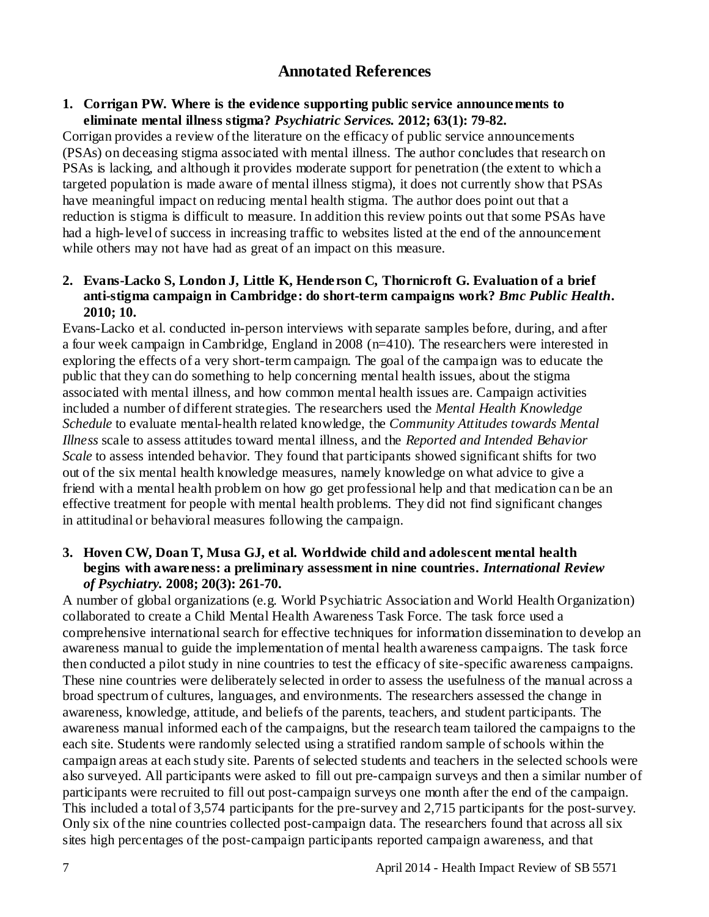# **Annotated References**

#### <span id="page-8-0"></span>**1. Corrigan PW. Where is the evidence supporting public service announcements to eliminate mental illness stigma?** *Psychiatric Services.* **2012; 63(1): 79-82.**

Corrigan provides a review of the literature on the efficacy of public service announcements (PSAs) on deceasing stigma associated with mental illness. The author concludes that research on PSAs is lacking, and although it provides moderate support for penetration (the extent to which a targeted population is made aware of mental illness stigma), it does not currently show that PSAs have meaningful impact on reducing mental health stigma. The author does point out that a reduction is stigma is difficult to measure. In addition this review points out that some PSAs have had a high-level of success in increasing traffic to websites listed at the end of the announcement while others may not have had as great of an impact on this measure.

# **2. Evans-Lacko S, London J, Little K, Henderson C, Thornicroft G. Evaluation of a brief anti-stigma campaign in Cambridge: do short-term campaigns work?** *Bmc Public Health***. 2010; 10.**

Evans-Lacko et al. conducted in-person interviews with separate samples before, during, and after a four week campaign in Cambridge, England in 2008 (n=410). The researchers were interested in exploring the effects of a very short-term campaign. The goal of the campaign was to educate the public that they can do something to help concerning mental health issues, about the stigma associated with mental illness, and how common mental health issues are. Campaign activities included a number of different strategies. The researchers used the *Mental Health Knowledge Schedule* to evaluate mental-health related knowledge, the *Community Attitudes towards Mental Illness* scale to assess attitudes toward mental illness, and the *Reported and Intended Behavior Scale* to assess intended behavior. They found that participants showed significant shifts for two out of the six mental health knowledge measures, namely knowledge on what advice to give a friend with a mental health problem on how go get professional help and that medication ca n be an effective treatment for people with mental health problems. They did not find significant changes in attitudinal or behavioral measures following the campaign.

# **3. Hoven CW, Doan T, Musa GJ, et al. Worldwide child and adolescent mental health begins with awareness: a preliminary assessment in nine countries.** *International Review of Psychiatry.* **2008; 20(3): 261-70.**

A number of global organizations (e.g. World Psychiatric Association and World Health Organization) collaborated to create a Child Mental Health Awareness Task Force. The task force used a comprehensive international search for effective techniques for information dissemination to develop an awareness manual to guide the implementation of mental health awareness campaigns. The task force then conducted a pilot study in nine countries to test the efficacy of site-specific awareness campaigns. These nine countries were deliberately selected in order to assess the usefulness of the manual across a broad spectrum of cultures, languages, and environments. The researchers assessed the change in awareness, knowledge, attitude, and beliefs of the parents, teachers, and student participants. The awareness manual informed each of the campaigns, but the research team tailored the campaigns to the each site. Students were randomly selected using a stratified random sample of schools within the campaign areas at each study site. Parents of selected students and teachers in the selected schools were also surveyed. All participants were asked to fill out pre-campaign surveys and then a similar number of participants were recruited to fill out post-campaign surveys one month after the end of the campaign. This included a total of 3,574 participants for the pre-survey and 2,715 participants for the post-survey. Only six of the nine countries collected post-campaign data. The researchers found that across all six sites high percentages of the post-campaign participants reported campaign awareness, and that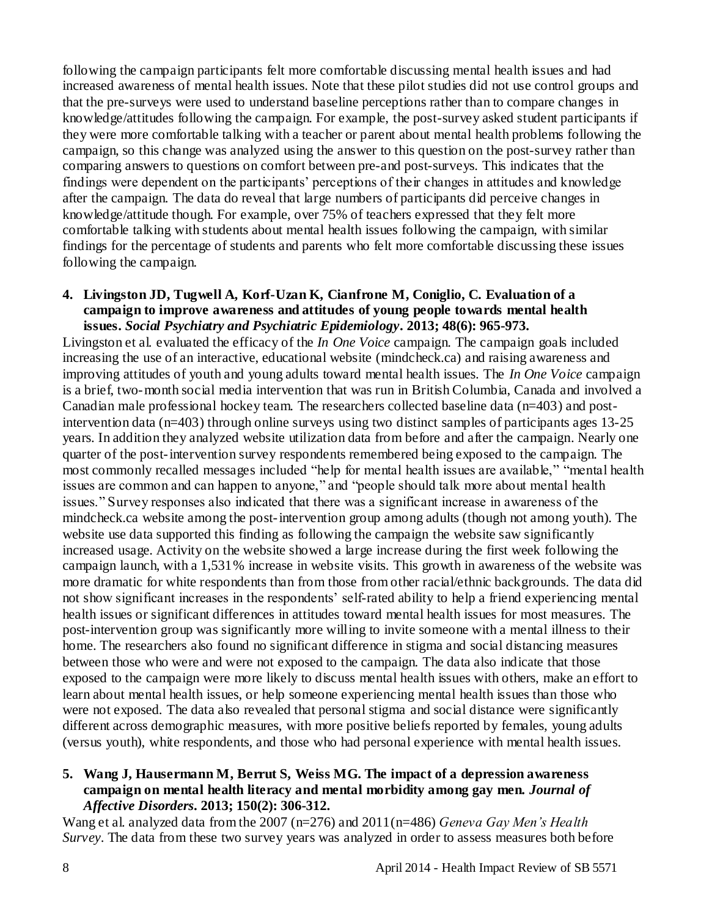following the campaign participants felt more comfortable discussing mental health issues and had increased awareness of mental health issues. Note that these pilot studies did not use control groups and that the pre-surveys were used to understand baseline perceptions rather than to compare changes in knowledge/attitudes following the campaign. For example, the post-survey asked student participants if they were more comfortable talking with a teacher or parent about mental health problems following the campaign, so this change was analyzed using the answer to this question on the post-survey rather than comparing answers to questions on comfort between pre-and post-surveys. This indicates that the findings were dependent on the participants" perceptions of their changes in attitudes and knowledge after the campaign. The data do reveal that large numbers of participants did perceive changes in knowledge/attitude though. For example, over 75% of teachers expressed that they felt more comfortable talking with students about mental health issues following the campaign, with similar findings for the percentage of students and parents who felt more comfortable discussing these issues following the campaign.

#### **4. Livingston JD, Tugwell A, Korf-Uzan K, Cianfrone M, Coniglio, C. Evaluation of a campaign to improve awareness and attitudes of young people towards mental health issues.** *Social Psychiatry and Psychiatric Epidemiology***. 2013; 48(6): 965-973.**

Livingston et al. evaluated the efficacy of the *In One Voice* campaign. The campaign goals included increasing the use of an interactive, educational website (mindcheck.ca) and raising awareness and improving attitudes of youth and young adults toward mental health issues. The *In One Voice* campaign is a brief, two-month social media intervention that was run in British Columbia, Canada and involved a Canadian male professional hockey team. The researchers collected baseline data  $(n=403)$  and postintervention data (n=403) through online surveys using two distinct samples of participants ages 13-25 years. In addition they analyzed website utilization data from before and after the campaign. Nearly one quarter of the post-intervention survey respondents remembered being exposed to the campaign. The most commonly recalled messages included "help for mental health issues are available," "mental health issues are common and can happen to anyone," and "people should talk more about mental health issues." Survey responses also indicated that there was a significant increase in awareness of the mindcheck.ca website among the post-intervention group among adults (though not among youth). The website use data supported this finding as following the campaign the website saw significantly increased usage. Activity on the website showed a large increase during the first week following the campaign launch, with a 1,531% increase in website visits. This growth in awareness of the website was more dramatic for white respondents than from those from other racial/ethnic backgrounds. The data did not show significant increases in the respondents' self-rated ability to help a friend experiencing mental health issues or significant differences in attitudes toward mental health issues for most measures. The post-intervention group was significantly more willing to invite someone with a mental illness to their home. The researchers also found no significant difference in stigma and social distancing measures between those who were and were not exposed to the campaign. The data also indicate that those exposed to the campaign were more likely to discuss mental health issues with others, make an effort to learn about mental health issues, or help someone experiencing mental health issues than those who were not exposed. The data also revealed that personal stigma and social distance were significantly different across demographic measures, with more positive beliefs reported by females, young adults (versus youth), white respondents, and those who had personal experience with mental health issues.

# **5. Wang J, Hausermann M, Berrut S, Weiss MG. The impact of a depression awareness campaign on mental health literacy and mental morbidity among gay men.** *Journal of Affective Disorders***. 2013; 150(2): 306-312.**

Wang et al. analyzed data from the 2007 (n=276) and 2011(n=486) *Geneva Gay Men's Health Survey*. The data from these two survey years was analyzed in order to assess measures both before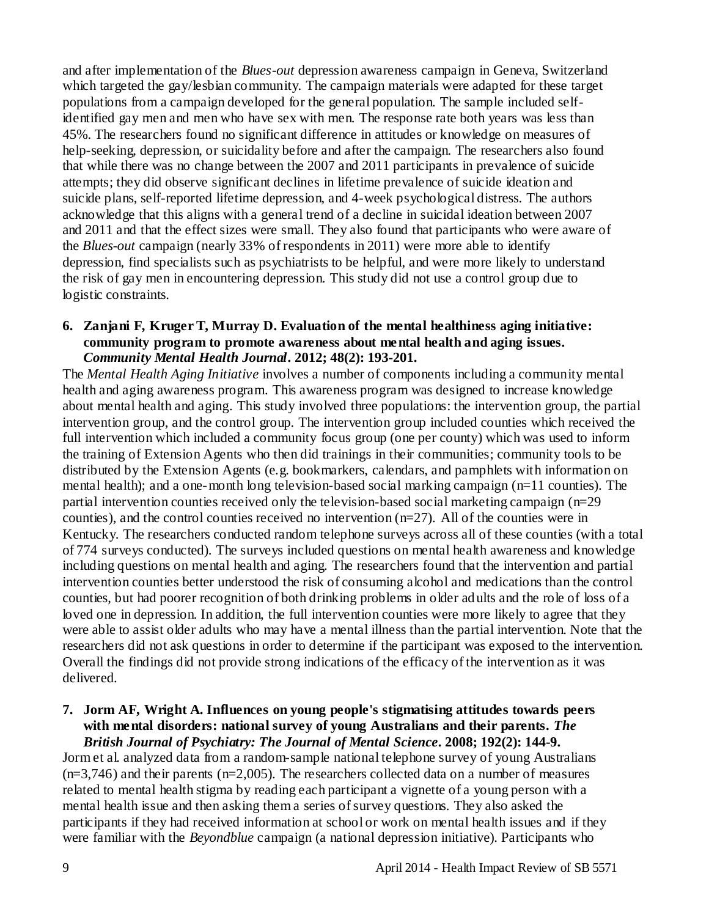and after implementation of the *Blues-out* depression awareness campaign in Geneva, Switzerland which targeted the gay/lesbian community. The campaign materials were adapted for these target populations from a campaign developed for the general population. The sample included selfidentified gay men and men who have sex with men. The response rate both years was less than 45%. The researchers found no significant difference in attitudes or knowledge on measures of help-seeking, depression, or suicidality before and after the campaign. The researchers also found that while there was no change between the 2007 and 2011 participants in prevalence of suicide attempts; they did observe significant declines in lifetime prevalence of suicide ideation and suicide plans, self-reported lifetime depression, and 4-week psychological distress. The authors acknowledge that this aligns with a general trend of a decline in suicidal ideation between 2007 and 2011 and that the effect sizes were small. They also found that participants who were aware of the *Blues-out* campaign (nearly 33% of respondents in 2011) were more able to identify depression, find specialists such as psychiatrists to be helpful, and were more likely to understand the risk of gay men in encountering depression. This study did not use a control group due to logistic constraints.

#### **6. Zanjani F, Kruger T, Murray D. Evaluation of the mental healthiness aging initiative: community program to promote awareness about mental health and aging issues.**  *Community Mental Health Journal***. 2012; 48(2): 193-201.**

The *Mental Health Aging Initiative* involves a number of components including a community mental health and aging awareness program. This awareness program was designed to increase knowledge about mental health and aging. This study involved three populations: the intervention group, the partial intervention group, and the control group. The intervention group included counties which received the full intervention which included a community focus group (one per county) which was used to inform the training of Extension Agents who then did trainings in their communities; community tools to be distributed by the Extension Agents (e.g. bookmarkers, calendars, and pamphlets with information on mental health); and a one-month long television-based social marking campaign (n=11 counties). The partial intervention counties received only the television-based social marketing campaign (n=29 counties), and the control counties received no intervention  $(n=27)$ . All of the counties were in Kentucky. The researchers conducted random telephone surveys across all of these counties (with a total of 774 surveys conducted). The surveys included questions on mental health awareness and knowledge including questions on mental health and aging. The researchers found that the intervention and partial intervention counties better understood the risk of consuming alcohol and medications than the control counties, but had poorer recognition of both drinking problems in older adults and the role of loss of a loved one in depression. In addition, the full intervention counties were more likely to agree that they were able to assist older adults who may have a mental illness than the partial intervention. Note that the researchers did not ask questions in order to determine if the participant was exposed to the intervention. Overall the findings did not provide strong indications of the efficacy of the intervention as it was delivered.

#### **7. Jorm AF, Wright A. Influences on young people's stigmatising attitudes towards peers with mental disorders: national survey of young Australians and their parents.** *The British Journal of Psychiatry: The Journal of Mental Science***. 2008; 192(2): 144-9.**

Jorm et al. analyzed data from a random-sample national telephone survey of young Australians  $(n=3,746)$  and their parents  $(n=2,005)$ . The researchers collected data on a number of measures related to mental health stigma by reading each participant a vignette of a young person with a mental health issue and then asking them a series of survey questions. They also asked the participants if they had received information at school or work on mental health issues and if they were familiar with the *Beyondblue* campaign (a national depression initiative). Participants who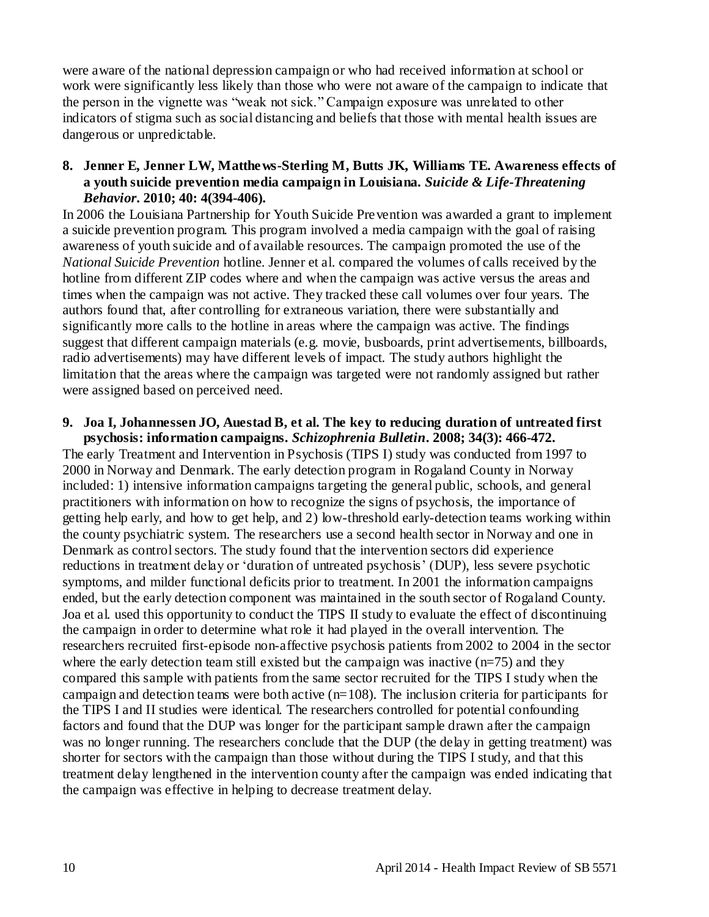were aware of the national depression campaign or who had received information at school or work were significantly less likely than those who were not aware of the campaign to indicate that the person in the vignette was "weak not sick." Campaign exposure was unrelated to other indicators of stigma such as social distancing and beliefs that those with mental health issues are dangerous or unpredictable.

# **8. Jenner E, Jenner LW, Matthews-Sterling M, Butts JK, Williams TE. Awareness effects of a youth suicide prevention media campaign in Louisiana.** *Suicide & Life-Threatening Behavior***. 2010; 40: 4(394-406).**

In 2006 the Louisiana Partnership for Youth Suicide Prevention was awarded a grant to implement a suicide prevention program. This program involved a media campaign with the goal of raising awareness of youth suicide and of available resources. The campaign promoted the use of the *National Suicide Prevention* hotline. Jenner et al. compared the volumes of calls received by the hotline from different ZIP codes where and when the campaign was active versus the areas and times when the campaign was not active. They tracked these call volumes over four years. The authors found that, after controlling for extraneous variation, there were substantially and significantly more calls to the hotline in areas where the campaign was active. The findings suggest that different campaign materials (e.g. movie, busboards, print advertisements, billboards, radio advertisements) may have different levels of impact. The study authors highlight the limitation that the areas where the campaign was targeted were not randomly assigned but rather were assigned based on perceived need.

#### **9. Joa I, Johannessen JO, Auestad B, et al. The key to reducing duration of untreated first psychosis: information campaigns.** *Schizophrenia Bulletin***. 2008; 34(3): 466-472.**

The early Treatment and Intervention in Psychosis (TIPS I) study was conducted from 1997 to 2000 in Norway and Denmark. The early detection program in Rogaland County in Norway included: 1) intensive information campaigns targeting the general public, schools, and general practitioners with information on how to recognize the signs of psychosis, the importance of getting help early, and how to get help, and 2) low-threshold early-detection teams working within the county psychiatric system. The researchers use a second health sector in Norway and one in Denmark as control sectors. The study found that the intervention sectors did experience reductions in treatment delay or "duration of untreated psychosis" (DUP), less severe psychotic symptoms, and milder functional deficits prior to treatment. In 2001 the information campaigns ended, but the early detection component was maintained in the south sector of Rogaland County. Joa et al. used this opportunity to conduct the TIPS II study to evaluate the effect of discontinuing the campaign in order to determine what role it had played in the overall intervention. The researchers recruited first-episode non-affective psychosis patients from 2002 to 2004 in the sector where the early detection team still existed but the campaign was inactive  $(n=75)$  and they compared this sample with patients from the same sector recruited for the TIPS I study when the campaign and detection teams were both active  $(n=108)$ . The inclusion criteria for participants for the TIPS I and II studies were identical. The researchers controlled for potential confounding factors and found that the DUP was longer for the participant sample drawn after the campaign was no longer running. The researchers conclude that the DUP (the delay in getting treatment) was shorter for sectors with the campaign than those without during the TIPS I study, and that this treatment delay lengthened in the intervention county after the campaign was ended indicating that the campaign was effective in helping to decrease treatment delay.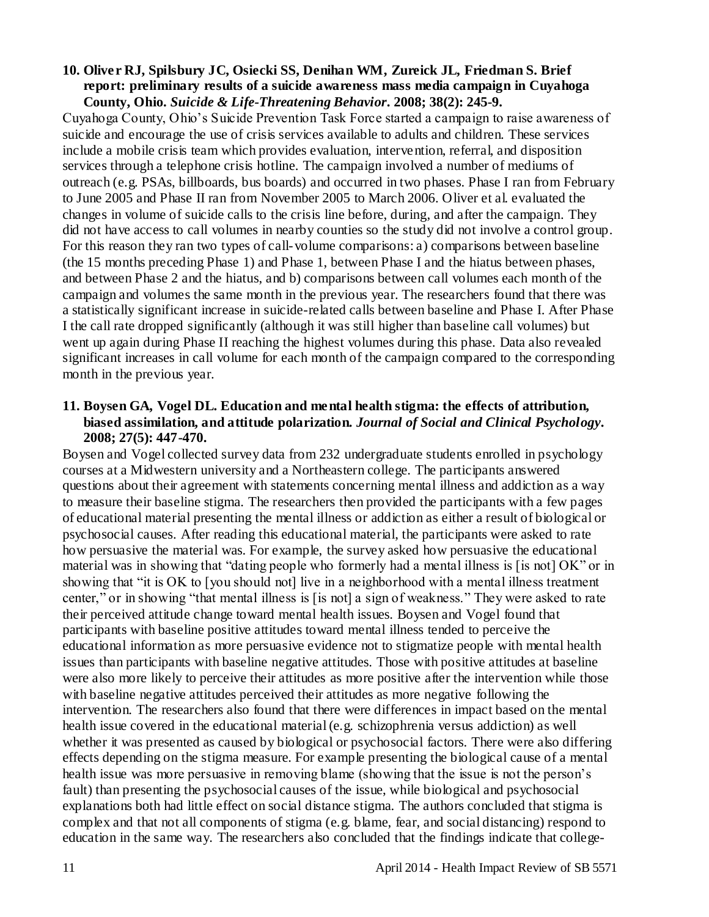#### **10. Oliver RJ, Spilsbury JC, Osiecki SS, Denihan WM, Zureick JL, Friedman S. Brief report: preliminary results of a suicide awareness mass media campaign in Cuyahoga County, Ohio.** *Suicide & Life-Threatening Behavior***. 2008; 38(2): 245-9.**

Cuyahoga County, Ohio"s Suicide Prevention Task Force started a campaign to raise awareness of suicide and encourage the use of crisis services available to adults and children. These services include a mobile crisis team which provides evaluation, intervention, referral, and disposition services through a telephone crisis hotline. The campaign involved a number of mediums of outreach (e.g. PSAs, billboards, bus boards) and occurred in two phases. Phase I ran from February to June 2005 and Phase II ran from November 2005 to March 2006. Oliver et al. evaluated the changes in volume of suicide calls to the crisis line before, during, and after the campaign. They did not have access to call volumes in nearby counties so the study did not involve a control group. For this reason they ran two types of call-volume comparisons: a) comparisons between baseline (the 15 months preceding Phase 1) and Phase 1, between Phase I and the hiatus between phases, and between Phase 2 and the hiatus, and b) comparisons between call volumes each month of the campaign and volumes the same month in the previous year. The researchers found that there was a statistically significant increase in suicide-related calls between baseline and Phase I. After Phase I the call rate dropped significantly (although it was still higher than baseline call volumes) but went up again during Phase II reaching the highest volumes during this phase. Data also revealed significant increases in call volume for each month of the campaign compared to the corresponding month in the previous year.

# **11. Boysen GA, Vogel DL. Education and mental health stigma: the effects of attribution, biased assimilation, and attitude polarization.** *Journal of Social and Clinical Psychology***. 2008; 27(5): 447-470.**

Boysen and Vogel collected survey data from 232 undergraduate students enrolled in psychology courses at a Midwestern university and a Northeastern college. The participants answered questions about their agreement with statements concerning mental illness and addiction as a way to measure their baseline stigma. The researchers then provided the participants with a few pages of educational material presenting the mental illness or addiction as either a result of biological or psychosocial causes. After reading this educational material, the participants were asked to rate how persuasive the material was. For example, the survey asked how persuasive the educational material was in showing that "dating people who formerly had a mental illness is [is not] OK" or in showing that "it is OK to [you should not] live in a neighborhood with a mental illness treatment center," or in showing "that mental illness is [is not] a sign of weakness." They were asked to rate their perceived attitude change toward mental health issues. Boysen and Vogel found that participants with baseline positive attitudes toward mental illness tended to perceive the educational information as more persuasive evidence not to stigmatize people with mental health issues than participants with baseline negative attitudes. Those with positive attitudes at baseline were also more likely to perceive their attitudes as more positive after the intervention while those with baseline negative attitudes perceived their attitudes as more negative following the intervention. The researchers also found that there were differences in impact based on the mental health issue covered in the educational material (e.g. schizophrenia versus addiction) as well whether it was presented as caused by biological or psychosocial factors. There were also differing effects depending on the stigma measure. For example presenting the biological cause of a mental health issue was more persuasive in removing blame (showing that the issue is not the person's fault) than presenting the psychosocial causes of the issue, while biological and psychosocial explanations both had little effect on social distance stigma. The authors concluded that stigma is complex and that not all components of stigma (e.g. blame, fear, and social distancing) respond to education in the same way. The researchers also concluded that the findings indicate that college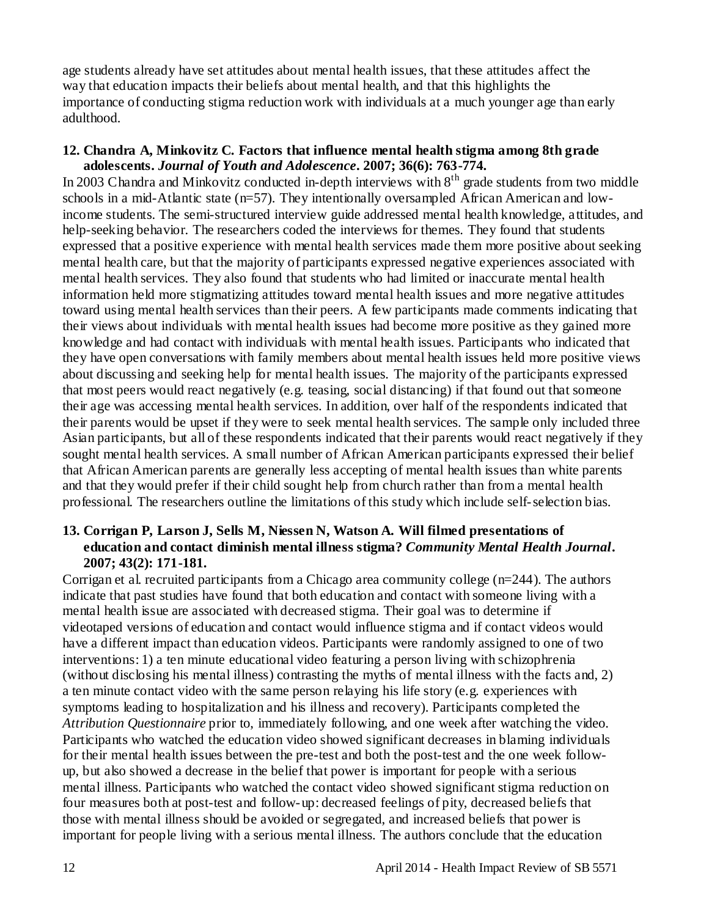age students already have set attitudes about mental health issues, that these attitudes affect the way that education impacts their beliefs about mental health, and that this highlights the importance of conducting stigma reduction work with individuals at a much younger age than early adulthood.

#### **12. Chandra A, Minkovitz C. Factors that influence mental health stigma among 8th grade adolescents.** *Journal of Youth and Adolescence***. 2007; 36(6): 763-774.**

In 2003 Chandra and Minkovitz conducted in-depth interviews with 8<sup>th</sup> grade students from two middle schools in a mid-Atlantic state (n=57). They intentionally oversampled African American and lowincome students. The semi-structured interview guide addressed mental health knowledge, a ttitudes, and help-seeking behavior. The researchers coded the interviews for themes. They found that students expressed that a positive experience with mental health services made them more positive about seeking mental health care, but that the majority of participants expressed negative experiences associated with mental health services. They also found that students who had limited or inaccurate mental health information held more stigmatizing attitudes toward mental health issues and more negative attitudes toward using mental health services than their peers. A few participants made comments indicating that their views about individuals with mental health issues had become more positive as they gained more knowledge and had contact with individuals with mental health issues. Participants who indicated that they have open conversations with family members about mental health issues held more positive views about discussing and seeking help for mental health issues. The majority of the participants expressed that most peers would react negatively (e.g. teasing, social distancing) if that found out that someone their age was accessing mental health services. In addition, over half of the respondents indicated that their parents would be upset if they were to seek mental health services. The sample only included three Asian participants, but all of these respondents indicated that their parents would react negatively if they sought mental health services. A small number of African American participants expressed their belief that African American parents are generally less accepting of mental health issues than white parents and that they would prefer if their child sought help from church rather than from a mental health professional. The researchers outline the limitations of this study which include self-selection bias.

# **13. Corrigan P, Larson J, Sells M, Niessen N, Watson A. Will filmed presentations of education and contact diminish mental illness stigma?** *Community Mental Health Journal***. 2007; 43(2): 171-181.**

Corrigan et al. recruited participants from a Chicago area community college (n=244). The authors indicate that past studies have found that both education and contact with someone living with a mental health issue are associated with decreased stigma. Their goal was to determine if videotaped versions of education and contact would influence stigma and if contact videos would have a different impact than education videos. Participants were randomly assigned to one of two interventions: 1) a ten minute educational video featuring a person living with schizophrenia (without disclosing his mental illness) contrasting the myths of mental illness with the facts and, 2) a ten minute contact video with the same person relaying his life story (e.g. experiences with symptoms leading to hospitalization and his illness and recovery). Participants completed the *Attribution Questionnaire* prior to, immediately following, and one week after watching the video. Participants who watched the education video showed significant decreases in blaming individuals for their mental health issues between the pre-test and both the post-test and the one week followup, but also showed a decrease in the belief that power is important for people with a serious mental illness. Participants who watched the contact video showed significant stigma reduction on four measures both at post-test and follow-up: decreased feelings of pity, decreased beliefs that those with mental illness should be avoided or segregated, and increased beliefs that power is important for people living with a serious mental illness. The authors conclude that the education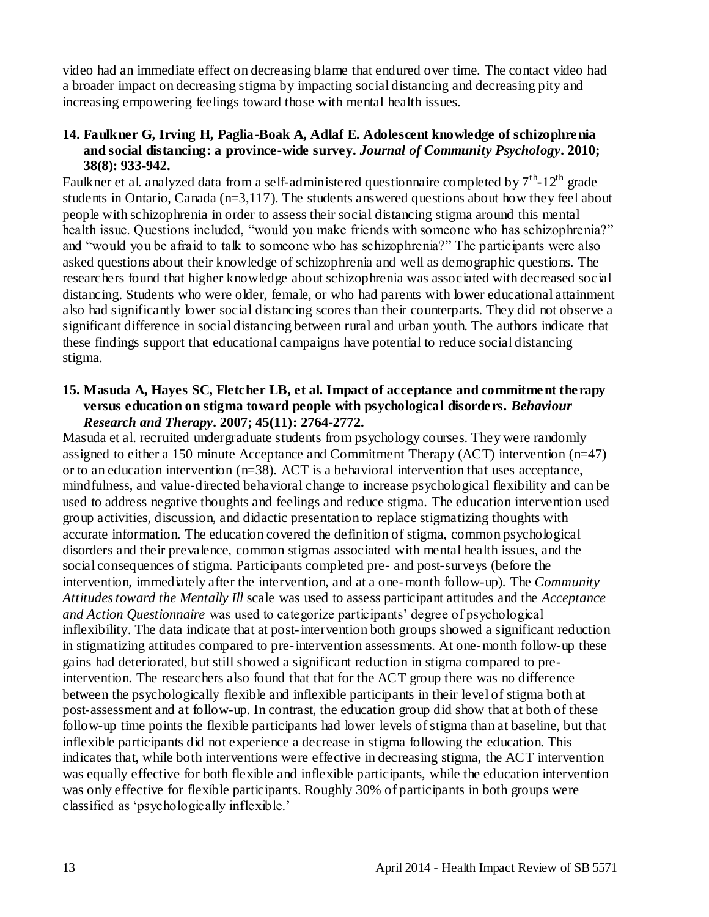video had an immediate effect on decreasing blame that endured over time. The contact video had a broader impact on decreasing stigma by impacting social distancing and decreasing pity and increasing empowering feelings toward those with mental health issues.

#### **14. Faulkner G, Irving H, Paglia-Boak A, Adlaf E. Adolescent knowledge of schizophrenia and social distancing: a province-wide survey.** *Journal of Community Psychology***. 2010; 38(8): 933-942.**

Faulkner et al. analyzed data from a self-administered questionnaire completed by  $7^{\rm th}$ -12<sup>th</sup> grade students in Ontario, Canada (n=3,117). The students answered questions about how they feel about people with schizophrenia in order to assess their social distancing stigma around this mental health issue. Questions included, "would you make friends with someone who has schizophrenia?" and "would you be afraid to talk to someone who has schizophrenia?" The participants were also asked questions about their knowledge of schizophrenia and well as demographic questions. The researchers found that higher knowledge about schizophrenia was associated with decreased social distancing. Students who were older, female, or who had parents with lower educational attainment also had significantly lower social distancing scores than their counterparts. They did not observe a significant difference in social distancing between rural and urban youth. The authors indicate that these findings support that educational campaigns have potential to reduce social distancing stigma.

#### **15. Masuda A, Hayes SC, Fletcher LB, et al. Impact of acceptance and commitment therapy versus education on stigma toward people with psychological disorders.** *Behaviour Research and Therapy***. 2007; 45(11): 2764-2772.**

Masuda et al. recruited undergraduate students from psychology courses. They were randomly assigned to either a 150 minute Acceptance and Commitment Therapy (ACT) intervention (n=47) or to an education intervention (n=38). ACT is a behavioral intervention that uses acceptance, mindfulness, and value-directed behavioral change to increase psychological flexibility and can be used to address negative thoughts and feelings and reduce stigma. The education intervention used group activities, discussion, and didactic presentation to replace stigmatizing thoughts with accurate information. The education covered the definition of stigma, common psychological disorders and their prevalence, common stigmas associated with mental health issues, and the social consequences of stigma. Participants completed pre- and post-surveys (before the intervention, immediately after the intervention, and at a one-month follow-up). The *Community Attitudes toward the Mentally Ill* scale was used to assess participant attitudes and the *Acceptance and Action Questionnaire* was used to categorize participants" degree of psychological inflexibility. The data indicate that at post-intervention both groups showed a significant reduction in stigmatizing attitudes compared to pre-intervention assessments. At one-month follow-up these gains had deteriorated, but still showed a significant reduction in stigma compared to preintervention. The researchers also found that that for the ACT group there was no difference between the psychologically flexible and inflexible participants in their level of stigma both at post-assessment and at follow-up. In contrast, the education group did show that at both of these follow-up time points the flexible participants had lower levels of stigma than at baseline, but that inflexible participants did not experience a decrease in stigma following the education. This indicates that, while both interventions were effective in decreasing stigma, the ACT intervention was equally effective for both flexible and inflexible participants, while the education intervention was only effective for flexible participants. Roughly 30% of participants in both groups were classified as "psychologically inflexible."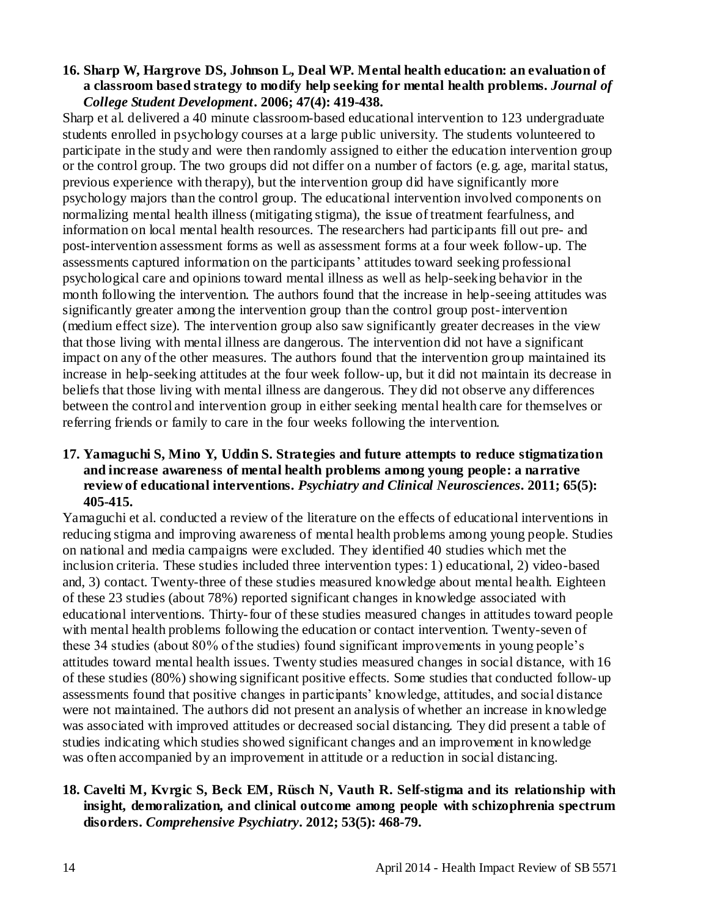#### **16. Sharp W, Hargrove DS, Johnson L, Deal WP. Mental health education: an evaluation of a classroom based strategy to modify help seeking for mental health problems.** *Journal of College Student Development***. 2006; 47(4): 419-438.**

Sharp et al. delivered a 40 minute classroom-based educational intervention to 123 undergraduate students enrolled in psychology courses at a large public university. The students volunteered to participate in the study and were then randomly assigned to either the education intervention group or the control group. The two groups did not differ on a number of factors (e.g. age, marital status, previous experience with therapy), but the intervention group did have significantly more psychology majors than the control group. The educational intervention involved components on normalizing mental health illness (mitigating stigma), the issue of treatment fearfulness, and information on local mental health resources. The researchers had participants fill out pre- and post-intervention assessment forms as well as assessment forms at a four week follow-up. The assessments captured information on the participants' attitudes toward seeking professional psychological care and opinions toward mental illness as well as help-seeking behavior in the month following the intervention. The authors found that the increase in help-seeing attitudes was significantly greater among the intervention group than the control group post-intervention (medium effect size). The intervention group also saw significantly greater decreases in the view that those living with mental illness are dangerous. The intervention did not have a significant impact on any of the other measures. The authors found that the intervention group maintained its increase in help-seeking attitudes at the four week follow-up, but it did not maintain its decrease in beliefs that those living with mental illness are dangerous. They did not observe any differences between the control and intervention group in either seeking mental health care for themselves or referring friends or family to care in the four weeks following the intervention.

# **17. Yamaguchi S, Mino Y, Uddin S. Strategies and future attempts to reduce stigmatization and increase awareness of mental health problems among young people: a narrative review of educational interventions.** *Psychiatry and Clinical Neurosciences***. 2011; 65(5): 405-415.**

Yamaguchi et al. conducted a review of the literature on the effects of educational interventions in reducing stigma and improving awareness of mental health problems among young people. Studies on national and media campaigns were excluded. They identified 40 studies which met the inclusion criteria. These studies included three intervention types: 1) educational, 2) video-based and, 3) contact. Twenty-three of these studies measured knowledge about mental health. Eighteen of these 23 studies (about 78%) reported significant changes in knowledge associated with educational interventions. Thirty-four of these studies measured changes in attitudes toward people with mental health problems following the education or contact intervention. Twenty-seven of these 34 studies (about 80% of the studies) found significant improvements in young people"s attitudes toward mental health issues. Twenty studies measured changes in social distance, with 16 of these studies (80%) showing significant positive effects. Some studies that conducted follow-up assessments found that positive changes in participants" knowledge, attitudes, and social distance were not maintained. The authors did not present an analysis of whether an increase in knowledge was associated with improved attitudes or decreased social distancing. They did present a table of studies indicating which studies showed significant changes and an improvement in knowledge was often accompanied by an improvement in attitude or a reduction in social distancing.

# **18. Cavelti M, Kvrgic S, Beck EM, Rüsch N, Vauth R. Self-stigma and its relationship with insight, demoralization, and clinical outcome among people with schizophrenia spectrum disorders.** *Comprehensive Psychiatry***. 2012; 53(5): 468-79.**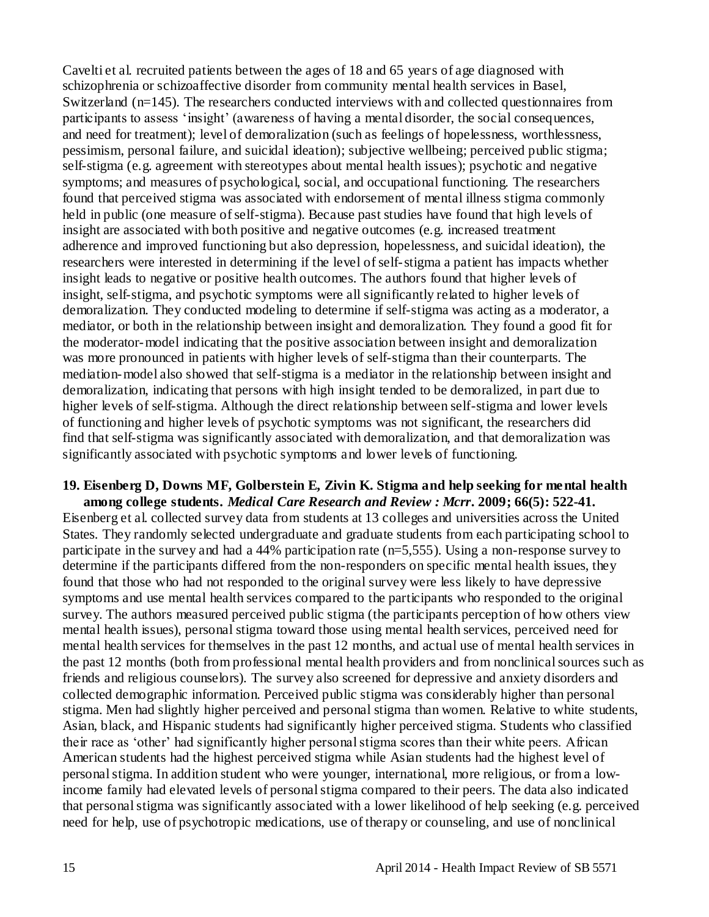Cavelti et al. recruited patients between the ages of 18 and 65 years of age diagnosed with schizophrenia or schizoaffective disorder from community mental health services in Basel, Switzerland (n=145). The researchers conducted interviews with and collected questionnaires from participants to assess "insight" (awareness of having a mental disorder, the social consequences, and need for treatment); level of demoralization (such as feelings of hopelessness, worthlessness, pessimism, personal failure, and suicidal ideation); subjective wellbeing; perceived public stigma; self-stigma (e.g. agreement with stereotypes about mental health issues); psychotic and negative symptoms; and measures of psychological, social, and occupational functioning. The researchers found that perceived stigma was associated with endorsement of mental illness stigma commonly held in public (one measure of self-stigma). Because past studies have found that high levels of insight are associated with both positive and negative outcomes (e.g. increased treatment adherence and improved functioning but also depression, hopelessness, and suicidal ideation), the researchers were interested in determining if the level of self-stigma a patient has impacts whether insight leads to negative or positive health outcomes. The authors found that higher levels of insight, self-stigma, and psychotic symptoms were all significantly related to higher levels of demoralization. They conducted modeling to determine if self-stigma was acting as a moderator, a mediator, or both in the relationship between insight and demoralization. They found a good fit for the moderator-model indicating that the positive association between insight and demoralization was more pronounced in patients with higher levels of self-stigma than their counterparts. The mediation-model also showed that self-stigma is a mediator in the relationship between insight and demoralization, indicating that persons with high insight tended to be demoralized, in part due to higher levels of self-stigma. Although the direct relationship between self-stigma and lower levels of functioning and higher levels of psychotic symptoms was not significant, the researchers did find that self-stigma was significantly associated with demoralization, and that demoralization was significantly associated with psychotic symptoms and lower levels of functioning.

# **19. Eisenberg D, Downs MF, Golberstein E, Zivin K. Stigma and help seeking for mental health among college students.** *Medical Care Research and Review : Mcrr***. 2009; 66(5): 522-41.**

Eisenberg et al. collected survey data from students at 13 colleges and universities across the United States. They randomly selected undergraduate and graduate students from each participating school to participate in the survey and had a 44% participation rate (n=5,555). Using a non-response survey to determine if the participants differed from the non-responders on specific mental health issues, they found that those who had not responded to the original survey were less likely to have depressive symptoms and use mental health services compared to the participants who responded to the original survey. The authors measured perceived public stigma (the participants perception of how others view mental health issues), personal stigma toward those using mental health services, perceived need for mental health services for themselves in the past 12 months, and actual use of mental health services in the past 12 months (both from professional mental health providers and from nonclinical sources such as friends and religious counselors). The survey also screened for depressive and anxiety disorders and collected demographic information. Perceived public stigma was considerably higher than personal stigma. Men had slightly higher perceived and personal stigma than women. Relative to white students, Asian, black, and Hispanic students had significantly higher perceived stigma. Students who classified their race as "other" had significantly higher personal stigma scores than their white peers. African American students had the highest perceived stigma while Asian students had the highest level of personal stigma. In addition student who were younger, international, more religious, or from a lowincome family had elevated levels of personal stigma compared to their peers. The data also indicated that personal stigma was significantly associated with a lower likelihood of help seeking (e.g. perceived need for help, use of psychotropic medications, use of therapy or counseling, and use of nonclinical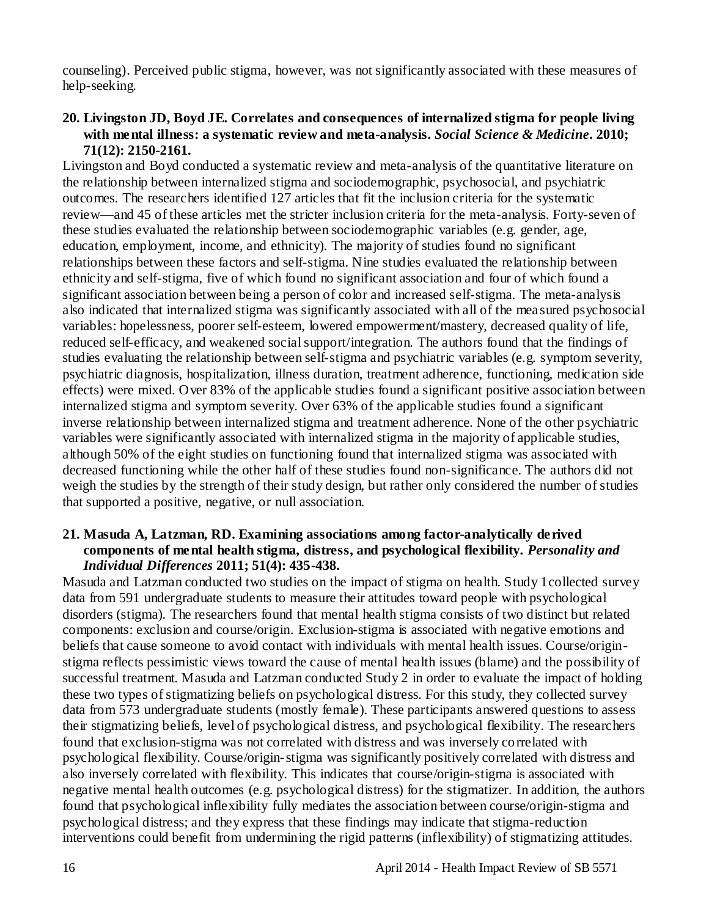counseling). Perceived public stigma, however, was not significantly associated with these measures of help-seeking.

# **20. Livingston JD, Boyd JE. Correlates and consequences of internalized stigma for people living with mental illness: a systematic review and meta-analysis.** *Social Science & Medicine***. 2010; 71(12): 2150-2161.**

Livingston and Boyd conducted a systematic review and meta-analysis of the quantitative literature on the relationship between internalized stigma and sociodemographic, psychosocial, and psychiatric outcomes. The researchers identified 127 articles that fit the inclusion criteria for the systematic review—and 45 of these articles met the stricter inclusion criteria for the meta-analysis. Forty-seven of these studies evaluated the relationship between sociodemographic variables (e.g. gender, age, education, employment, income, and ethnicity). The majority of studies found no significant relationships between these factors and self-stigma. Nine studies evaluated the relationship between ethnicity and self-stigma, five of which found no significant association and four of which found a significant association between being a person of color and increased self-stigma. The meta-analysis also indicated that internalized stigma was significantly associated with all of the mea sured psychosocial variables: hopelessness, poorer self-esteem, lowered empowerment/mastery, decreased quality of life, reduced self-efficacy, and weakened social support/integration. The authors found that the findings of studies evaluating the relationship between self-stigma and psychiatric variables (e.g. symptom severity, psychiatric diagnosis, hospitalization, illness duration, treatment adherence, functioning, medication side effects) were mixed. Over 83% of the applicable studies found a significant positive association between internalized stigma and symptom severity. Over 63% of the applicable studies found a significant inverse relationship between internalized stigma and treatment adherence. None of the other psychiatric variables were significantly associated with internalized stigma in the majority of applicable studies, although 50% of the eight studies on functioning found that internalized stigma was associated with decreased functioning while the other half of these studies found non-significance. The authors did not weigh the studies by the strength of their study design, but rather only considered the number of studies that supported a positive, negative, or null association.

# **21. Masuda A, Latzman, RD. Examining associations among factor-analytically derived components of mental health stigma, distress, and psychological flexibility.** *Personality and Individual Differences* **2011; 51(4): 435-438.**

Masuda and Latzman conducted two studies on the impact of stigma on health. Study 1collected survey data from 591 undergraduate students to measure their attitudes toward people with psychological disorders (stigma). The researchers found that mental health stigma consists of two distinct but related components: exclusion and course/origin. Exclusion-stigma is associated with negative emotions and beliefs that cause someone to avoid contact with individuals with mental health issues. Course/originstigma reflects pessimistic views toward the cause of mental health issues (blame) and the possibility of successful treatment. Masuda and Latzman conducted Study 2 in order to evaluate the impact of holding these two types of stigmatizing beliefs on psychological distress. For this study, they collected survey data from 573 undergraduate students (mostly female). These participants answered questions to assess their stigmatizing beliefs, level of psychological distress, and psychological flexibility. The researchers found that exclusion-stigma was not correlated with distress and was inversely correlated with psychological flexibility. Course/origin-stigma was significantly positively correlated with distress and also inversely correlated with flexibility. This indicates that course/origin-stigma is associated with negative mental health outcomes (e.g. psychological distress) for the stigmatizer. In addition, the authors found that psychological inflexibility fully mediates the association between course/origin-stigma and psychological distress; and they express that these findings may indicate that stigma-reduction interventions could benefit from undermining the rigid patterns (inflexibility) of stigmatizing attitudes.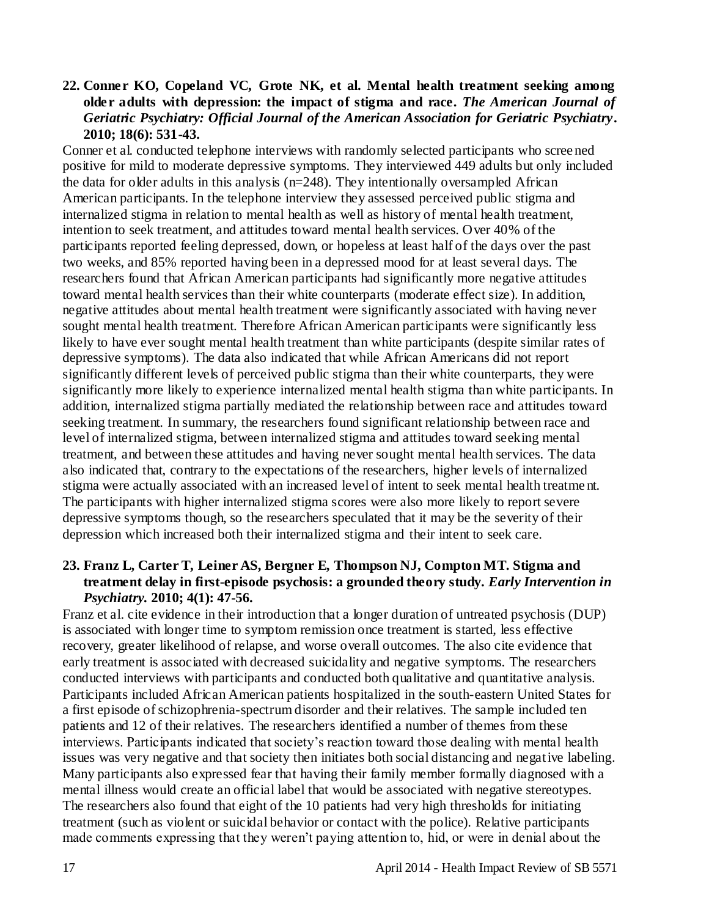### **22. Conner KO, Copeland VC, Grote NK, et al. Mental health treatment seeking among older adults with depression: the impact of stigma and race.** *The American Journal of Geriatric Psychiatry: Official Journal of the American Association for Geriatric Psychiatry***. 2010; 18(6): 531-43.**

Conner et al. conducted telephone interviews with randomly selected participants who scree ned positive for mild to moderate depressive symptoms. They interviewed 449 adults but only included the data for older adults in this analysis (n=248). They intentionally oversampled African American participants. In the telephone interview they assessed perceived public stigma and internalized stigma in relation to mental health as well as history of mental health treatment, intention to seek treatment, and attitudes toward mental health services. Over 40% of the participants reported feeling depressed, down, or hopeless at least half of the days over the past two weeks, and 85% reported having been in a depressed mood for at least several days. The researchers found that African American participants had significantly more negative attitudes toward mental health services than their white counterparts (moderate effect size). In addition, negative attitudes about mental health treatment were significantly associated with having never sought mental health treatment. Therefore African American participants were significantly less likely to have ever sought mental health treatment than white participants (despite similar rates of depressive symptoms). The data also indicated that while African Americans did not report significantly different levels of perceived public stigma than their white counterparts, they were significantly more likely to experience internalized mental health stigma than white participants. In addition, internalized stigma partially mediated the relationship between race and attitudes toward seeking treatment. In summary, the researchers found significant relationship between race and level of internalized stigma, between internalized stigma and attitudes toward seeking mental treatment, and between these attitudes and having never sought mental health services. The data also indicated that, contrary to the expectations of the researchers, higher levels of internalized stigma were actually associated with an increased level of intent to seek mental health treatme nt. The participants with higher internalized stigma scores were also more likely to report severe depressive symptoms though, so the researchers speculated that it may be the severity of their depression which increased both their internalized stigma and their intent to seek care.

### **23. Franz L, Carter T, Leiner AS, Bergner E, Thompson NJ, Compton MT. Stigma and treatment delay in first-episode psychosis: a grounded theory study.** *Early Intervention in Psychiatry.* **2010; 4(1): 47-56.**

Franz et al. cite evidence in their introduction that a longer duration of untreated psychosis (DUP) is associated with longer time to symptom remission once treatment is started, less effective recovery, greater likelihood of relapse, and worse overall outcomes. The also cite evidence that early treatment is associated with decreased suicidality and negative symptoms. The researchers conducted interviews with participants and conducted both qualitative and quantitative analysis. Participants included African American patients hospitalized in the south-eastern United States for a first episode of schizophrenia-spectrum disorder and their relatives. The sample included ten patients and 12 of their relatives. The researchers identified a number of themes from these interviews. Participants indicated that society"s reaction toward those dealing with mental health issues was very negative and that society then initiates both social distancing and negative labeling. Many participants also expressed fear that having their family member formally diagnosed with a mental illness would create an official label that would be associated with negative stereotypes. The researchers also found that eight of the 10 patients had very high thresholds for initiating treatment (such as violent or suicidal behavior or contact with the police). Relative participants made comments expressing that they weren"t paying attention to, hid, or were in denial about the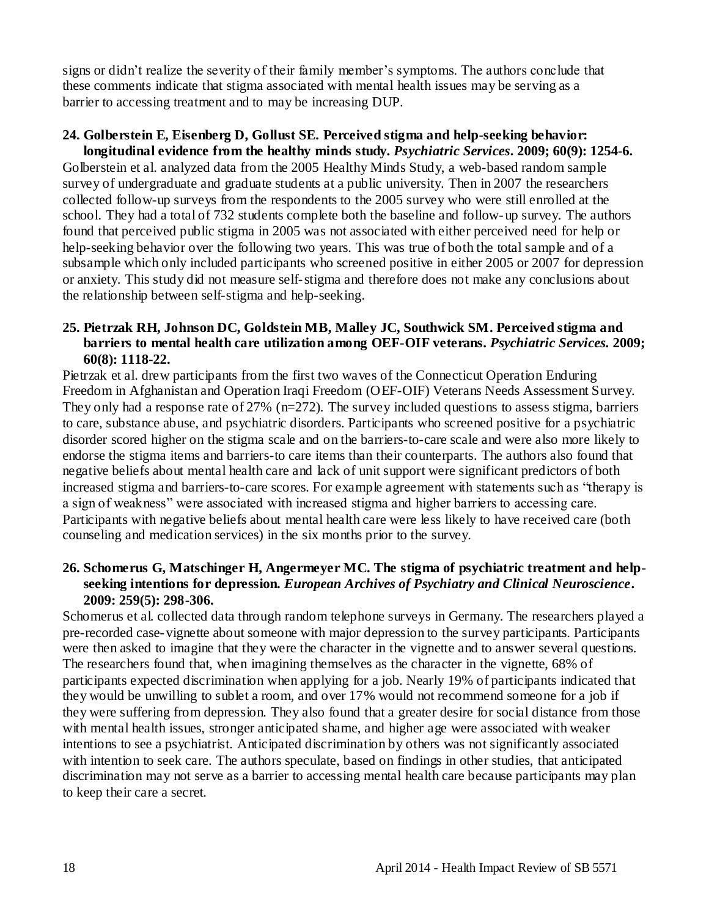signs or didn't realize the severity of their family member's symptoms. The authors conclude that these comments indicate that stigma associated with mental health issues may be serving as a barrier to accessing treatment and to may be increasing DUP.

# **24. Golberstein E, Eisenberg D, Gollust SE. Perceived stigma and help-seeking behavior:**

**longitudinal evidence from the healthy minds study.** *Psychiatric Services***. 2009; 60(9): 1254-6.**  Golberstein et al. analyzed data from the 2005 Healthy Minds Study, a web-based random sample survey of undergraduate and graduate students at a public university. Then in 2007 the researchers collected follow-up surveys from the respondents to the 2005 survey who were still enrolled at the school. They had a total of 732 students complete both the baseline and follow-up survey. The authors found that perceived public stigma in 2005 was not associated with either perceived need for help or help-seeking behavior over the following two years. This was true of both the total sample and of a subsample which only included participants who screened positive in either 2005 or 2007 for depression or anxiety. This study did not measure self-stigma and therefore does not make any conclusions about the relationship between self-stigma and help-seeking.

# **25. Pietrzak RH, Johnson DC, Goldstein MB, Malley JC, Southwick SM. Perceived stigma and barriers to mental health care utilization among OEF-OIF veterans.** *Psychiatric Services.* **2009; 60(8): 1118-22.**

Pietrzak et al. drew participants from the first two waves of the Connecticut Operation Enduring Freedom in Afghanistan and Operation Iraqi Freedom (OEF-OIF) Veterans Needs Assessment Survey. They only had a response rate of 27% ( $n=272$ ). The survey included questions to assess stigma, barriers to care, substance abuse, and psychiatric disorders. Participants who screened positive for a psychiatric disorder scored higher on the stigma scale and on the barriers-to-care scale and were also more likely to endorse the stigma items and barriers-to care items than their counterparts. The authors also found that negative beliefs about mental health care and lack of unit support were significant predictors of both increased stigma and barriers-to-care scores. For example agreement with statements such as "therapy is a sign of weakness" were associated with increased stigma and higher barriers to accessing care. Participants with negative beliefs about mental health care were less likely to have received care (both counseling and medication services) in the six months prior to the survey.

# **26. Schomerus G, Matschinger H, Angermeyer MC. The stigma of psychiatric treatment and helpseeking intentions for depression.** *European Archives of Psychiatry and Clinical Neuroscience***. 2009: 259(5): 298-306.**

Schomerus et al. collected data through random telephone surveys in Germany. The researchers played a pre-recorded case-vignette about someone with major depression to the survey participants. Participants were then asked to imagine that they were the character in the vignette and to answer several questions. The researchers found that, when imagining themselves as the character in the vignette, 68% of participants expected discrimination when applying for a job. Nearly 19% of participants indicated that they would be unwilling to sublet a room, and over 17% would not recommend someone for a job if they were suffering from depression. They also found that a greater desire for social distance from those with mental health issues, stronger anticipated shame, and higher age were associated with weaker intentions to see a psychiatrist. Anticipated discrimination by others was not significantly associated with intention to seek care. The authors speculate, based on findings in other studies, that anticipated discrimination may not serve as a barrier to accessing mental health care because participants may plan to keep their care a secret.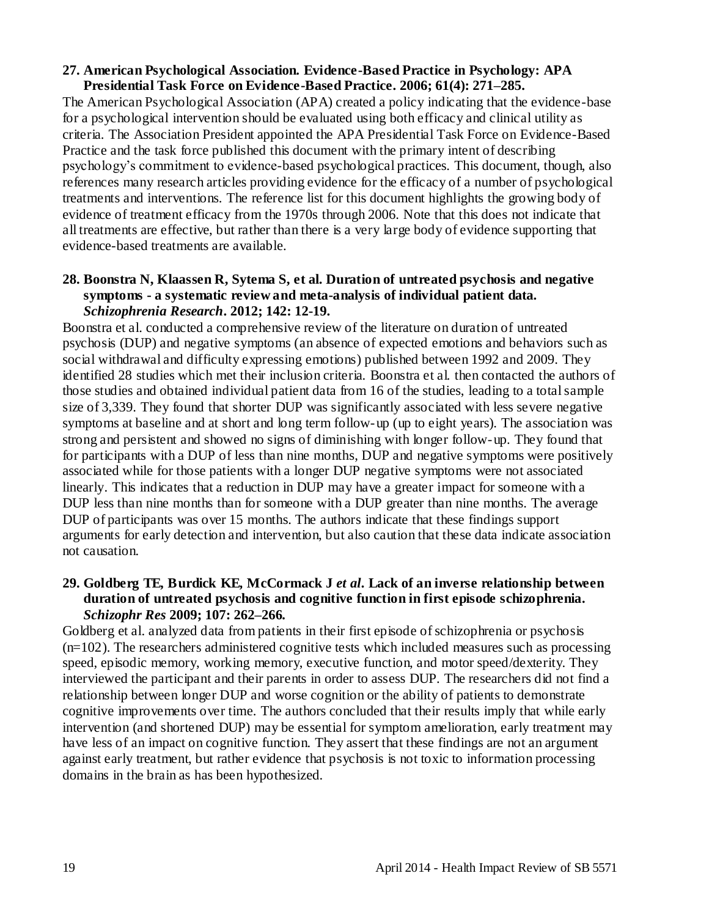#### **27. American Psychological Association. Evidence-Based Practice in Psychology: APA Presidential Task Force on Evidence-Based Practice. 2006; 61(4): 271–285.**

The American Psychological Association (APA) created a policy indicating that the evidence-base for a psychological intervention should be evaluated using both efficacy and clinical utility as criteria. The Association President appointed the APA Presidential Task Force on Evidence-Based Practice and the task force published this document with the primary intent of describing psychology"s commitment to evidence-based psychological practices. This document, though, also references many research articles providing evidence for the efficacy of a number of psychological treatments and interventions. The reference list for this document highlights the growing body of evidence of treatment efficacy from the 1970s through 2006. Note that this does not indicate that all treatments are effective, but rather than there is a very large body of evidence supporting that evidence-based treatments are available.

#### **28. Boonstra N, Klaassen R, Sytema S, et al. Duration of untreated psychosis and negative symptoms - a systematic review and meta-analysis of individual patient data.**  *Schizophrenia Research***. 2012; 142: 12-19.**

Boonstra et al. conducted a comprehensive review of the literature on duration of untreated psychosis (DUP) and negative symptoms (an absence of expected emotions and behaviors such as social withdrawal and difficulty expressing emotions) published between 1992 and 2009. They identified 28 studies which met their inclusion criteria. Boonstra et al. then contacted the authors of those studies and obtained individual patient data from 16 of the studies, leading to a total sample size of 3,339. They found that shorter DUP was significantly associated with less severe negative symptoms at baseline and at short and long term follow-up (up to eight years). The association was strong and persistent and showed no signs of diminishing with longer follow-up. They found that for participants with a DUP of less than nine months, DUP and negative symptoms were positively associated while for those patients with a longer DUP negative symptoms were not associated linearly. This indicates that a reduction in DUP may have a greater impact for someone with a DUP less than nine months than for someone with a DUP greater than nine months. The average DUP of participants was over 15 months. The authors indicate that these findings support arguments for early detection and intervention, but also caution that these data indicate association not causation.

# **29. Goldberg TE***,* **Burdick KE***,* **McCormack J** *et al.* **Lack of an inverse relationship between duration of untreated psychosis and cognitive function in first episode schizophrenia***. Schizophr Res* **2009; 107: 262***–***266***.*

Goldberg et al. analyzed data from patients in their first episode of schizophrenia or psychosis  $(n=102)$ . The researchers administered cognitive tests which included measures such as processing speed, episodic memory, working memory, executive function, and motor speed/dexterity. They interviewed the participant and their parents in order to assess DUP. The researchers did not find a relationship between longer DUP and worse cognition or the ability of patients to demonstrate cognitive improvements over time. The authors concluded that their results imply that while early intervention (and shortened DUP) may be essential for symptom amelioration, early treatment may have less of an impact on cognitive function. They assert that these findings are not an argument against early treatment, but rather evidence that psychosis is not toxic to information processing domains in the brain as has been hypothesized.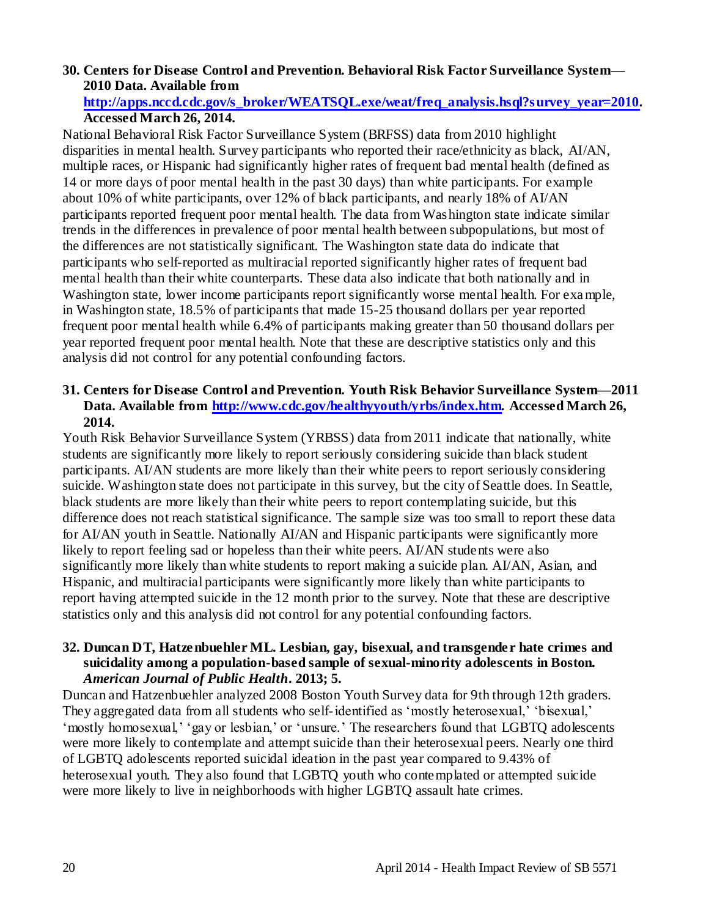# **30. Centers for Disease Control and Prevention. Behavioral Risk Factor Surveillance System— 2010 Data. Available from**

# **[http://apps.nccd.cdc.gov/s\\_broker/WEATSQL.exe/weat/freq\\_analysis.hsql?survey\\_year=2010](http://apps.nccd.cdc.gov/s_broker/WEATSQL.exe/weat/freq_analysis.hsql?survey_year=2010)***.*  **Accessed March 26, 2014.**

National Behavioral Risk Factor Surveillance System (BRFSS) data from 2010 highlight disparities in mental health. Survey participants who reported their race/ethnicity as black, AI/AN, multiple races, or Hispanic had significantly higher rates of frequent bad mental health (defined as 14 or more days of poor mental health in the past 30 days) than white participants. For example about 10% of white participants, over 12% of black participants, and nearly 18% of AI/AN participants reported frequent poor mental health. The data from Washington state indicate similar trends in the differences in prevalence of poor mental health between subpopulations, but most of the differences are not statistically significant. The Washington state data do indicate that participants who self-reported as multiracial reported significantly higher rates of frequent bad mental health than their white counterparts. These data also indicate that both nationally and in Washington state, lower income participants report significantly worse mental health. For example, in Washington state, 18.5% of participants that made 15-25 thousand dollars per year reported frequent poor mental health while 6.4% of participants making greater than 50 thousand dollars per year reported frequent poor mental health. Note that these are descriptive statistics only and this analysis did not control for any potential confounding factors.

# **31. Centers for Disease Control and Prevention. Youth Risk Behavior Surveillance System—2011 Data. Available from<http://www.cdc.gov/healthyyouth/yrbs/index.htm>***.* **Accessed March 26, 2014.**

Youth Risk Behavior Surveillance System (YRBSS) data from 2011 indicate that nationally, white students are significantly more likely to report seriously considering suicide than black student participants. AI/AN students are more likely than their white peers to report seriously considering suicide. Washington state does not participate in this survey, but the city of Seattle does. In Seattle, black students are more likely than their white peers to report contemplating suicide, but this difference does not reach statistical significance. The sample size was too small to report these data for AI/AN youth in Seattle. Nationally AI/AN and Hispanic participants were significantly more likely to report feeling sad or hopeless than their white peers. AI/AN students were also significantly more likely than white students to report making a suicide plan. AI/AN, Asian, and Hispanic, and multiracial participants were significantly more likely than white participants to report having attempted suicide in the 12 month prior to the survey. Note that these are descriptive statistics only and this analysis did not control for any potential confounding factors.

#### **32. Duncan DT, Hatzenbuehler ML. Lesbian, gay, bisexual, and transgender hate crimes and suicidality among a population-based sample of sexual-minority adolescents in Boston.**  *American Journal of Public Health***. 2013; 5.**

Duncan and Hatzenbuehler analyzed 2008 Boston Youth Survey data for 9th through 12th graders. They aggregated data from all students who self-identified as "mostly heterosexual," "bisexual," "mostly homosexual," "gay or lesbian," or "unsure." The researchers found that LGBTQ adolescents were more likely to contemplate and attempt suicide than their heterosexual peers. Nearly one third of LGBTQ adolescents reported suicidal ideation in the past year compared to 9.43% of heterosexual youth. They also found that LGBTQ youth who contemplated or attempted suicide were more likely to live in neighborhoods with higher LGBTQ assault hate crimes.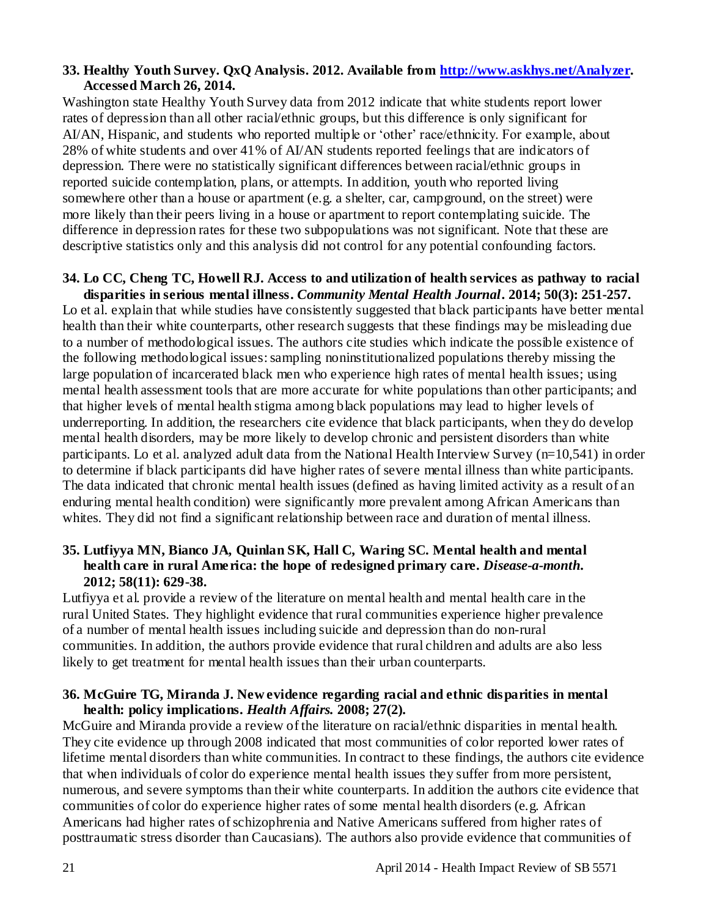#### **33. Healthy Youth Survey. QxQ Analysis. 2012. Available from [http://www.askhys.net/Analyzer.](http://www.askhys.net/Analyzer) Accessed March 26, 2014.**

Washington state Healthy Youth Survey data from 2012 indicate that white students report lower rates of depression than all other racial/ethnic groups, but this difference is only significant for AI/AN, Hispanic, and students who reported multiple or 'other' race/ethnicity. For example, about 28% of white students and over 41% of AI/AN students reported feelings that are indicators of depression. There were no statistically significant differences between racial/ethnic groups in reported suicide contemplation, plans, or attempts. In addition, youth who reported living somewhere other than a house or apartment (e.g. a shelter, car, campground, on the street) were more likely than their peers living in a house or apartment to report contemplating suicide. The difference in depression rates for these two subpopulations was not significant. Note that these are descriptive statistics only and this analysis did not control for any potential confounding factors.

# **34. Lo CC, Cheng TC, Howell RJ. Access to and utilization of health services as pathway to racial disparities in serious mental illness.** *Community Mental Health Journal***. 2014; 50(3): 251-257.**

Lo et al. explain that while studies have consistently suggested that black participants have better mental health than their white counterparts, other research suggests that these findings may be misleading due to a number of methodological issues. The authors cite studies which indicate the possible existence of the following methodological issues: sampling noninstitutionalized populations thereby missing the large population of incarcerated black men who experience high rates of mental health issues; using mental health assessment tools that are more accurate for white populations than other participants; and that higher levels of mental health stigma among black populations may lead to higher levels of underreporting. In addition, the researchers cite evidence that black participants, when they do develop mental health disorders, may be more likely to develop chronic and persistent disorders than white participants. Lo et al. analyzed adult data from the National Health Interview Survey (n=10,541) in order to determine if black participants did have higher rates of severe mental illness than white participants. The data indicated that chronic mental health issues (defined as having limited activity as a result of an enduring mental health condition) were significantly more prevalent among African Americans than whites. They did not find a significant relationship between race and duration of mental illness.

# **35. Lutfiyya MN, Bianco JA, Quinlan SK, Hall C, Waring SC. Mental health and mental health care in rural America: the hope of redesigned primary care.** *Disease-a-month.* **2012; 58(11): 629-38.**

Lutfiyya et al. provide a review of the literature on mental health and mental health care in the rural United States. They highlight evidence that rural communities experience higher prevalence of a number of mental health issues including suicide and depression than do non-rural communities. In addition, the authors provide evidence that rural children and adults are also less likely to get treatment for mental health issues than their urban counterparts.

### **36. McGuire TG, Miranda J. New evidence regarding racial and ethnic disparities in mental health: policy implications.** *Health Affairs.* **2008; 27(2).**

McGuire and Miranda provide a review of the literature on racial/ethnic disparities in mental health. They cite evidence up through 2008 indicated that most communities of color reported lower rates of lifetime mental disorders than white communities. In contract to these findings, the authors cite evidence that when individuals of color do experience mental health issues they suffer from more persistent, numerous, and severe symptoms than their white counterparts. In addition the authors cite evidence that communities of color do experience higher rates of some mental health disorders (e.g. African Americans had higher rates of schizophrenia and Native Americans suffered from higher rates of posttraumatic stress disorder than Caucasians). The authors also provide evidence that communities of